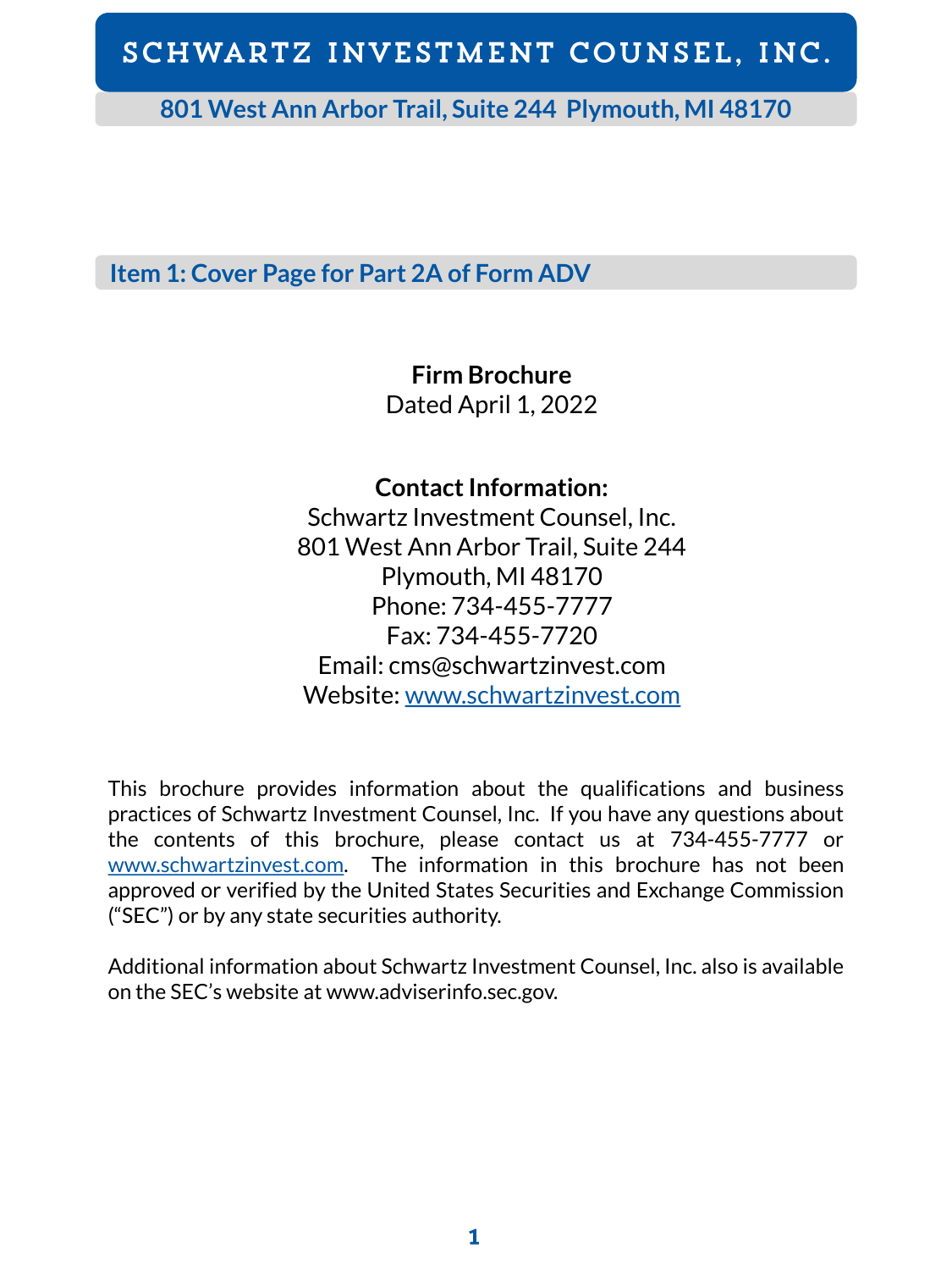**801 West Ann Arbor Trail, Suite 244 Plymouth, MI 48170**

**Item 1: Cover Page for Part 2A of Form ADV**

**Firm Brochure**

Dated April 1, 2022

**Contact Information:**

Schwartz Investment Counsel, Inc. 801 West Ann Arbor Trail, Suite 244 Plymouth, MI 48170 Phone: 734-455-7777 Fax: 734-455-7720 Email: cms@schwartzinvest.com Website: [www.schwartzinvest.com](http://www.schwartzinvest.com/)

This brochure provides information about the qualifications and business practices of Schwartz Investment Counsel, Inc. If you have any questions about the contents of this brochure, please contact us at 734-455-7777 or [www.schwartzinvest.com](http://www.schwartzinvest.com/). The information in this brochure has not been approved or verified by the United States Securities and Exchange Commission ("SEC") or by any state securities authority.

Additional information about Schwartz Investment Counsel, Inc. also is available on the SEC's website at www.adviserinfo.sec.gov.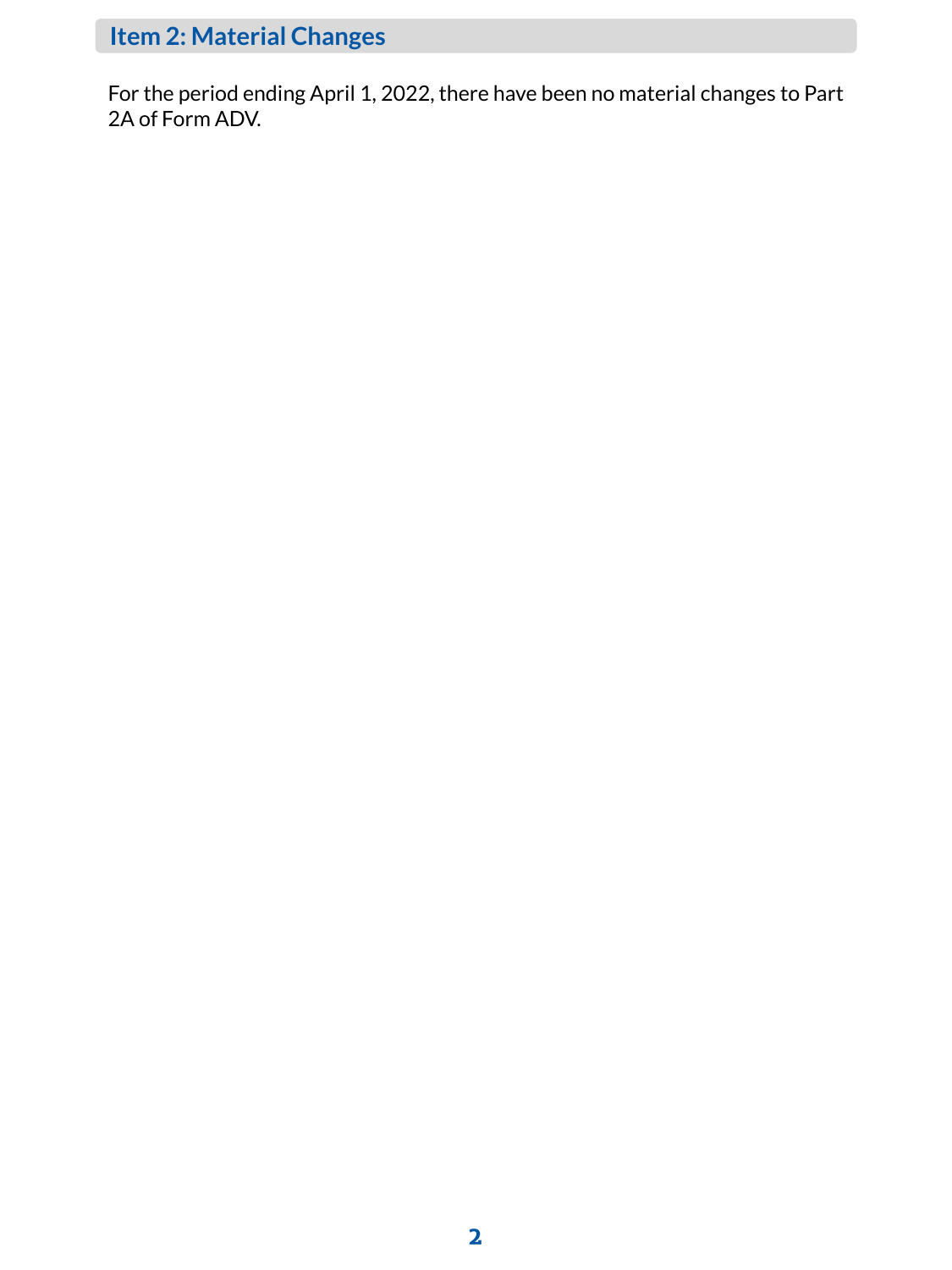# **Item 2: Material Changes**

For the period ending April 1, 2022, there have been no material changes to Part 2A of Form ADV.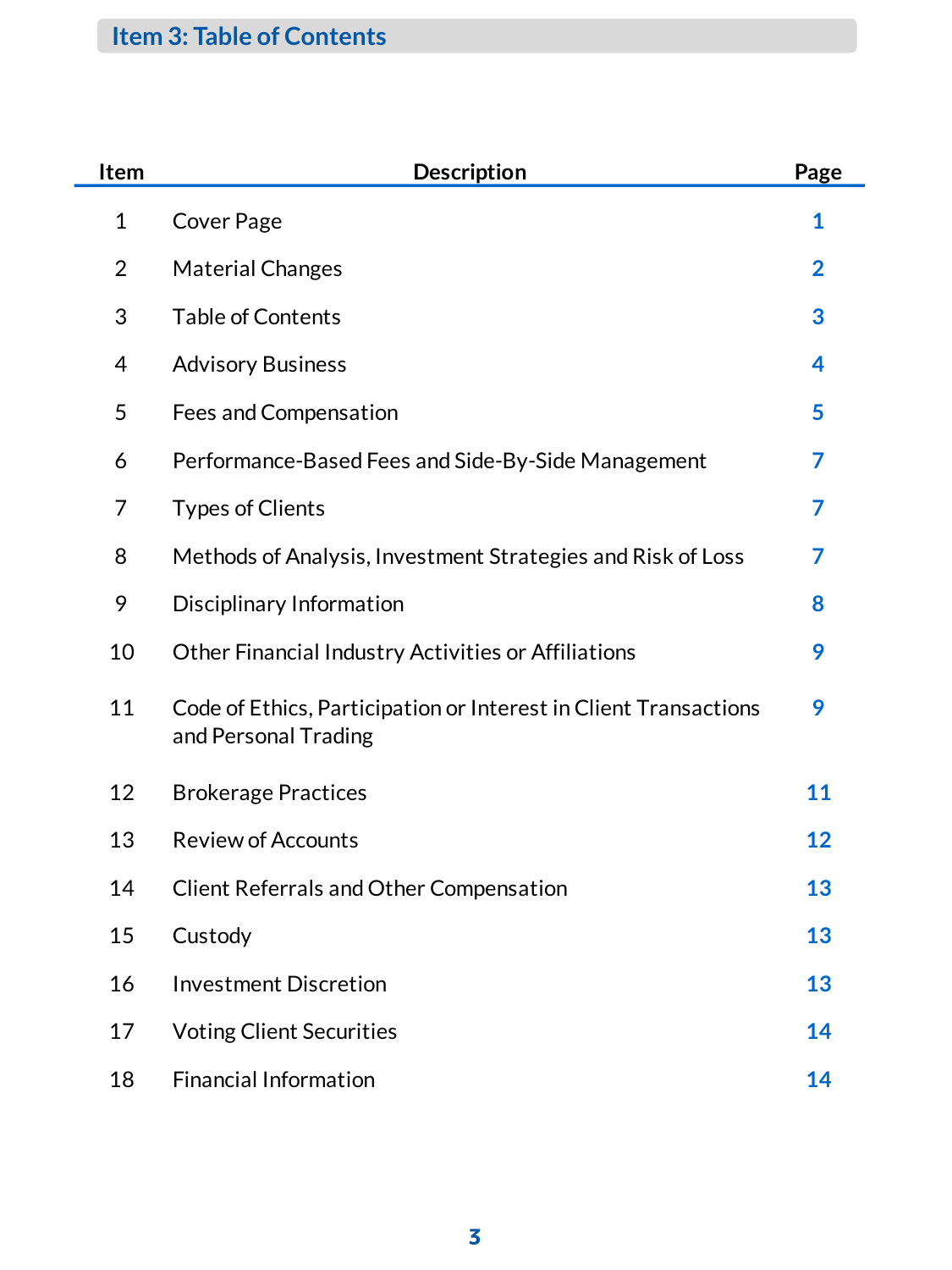# **Item 3: Table of Contents**

| Item           | <b>Description</b>                                                                       | Page           |
|----------------|------------------------------------------------------------------------------------------|----------------|
| $\mathbf{1}$   | <b>Cover Page</b>                                                                        | 1              |
| $\overline{2}$ | <b>Material Changes</b>                                                                  | $\overline{2}$ |
| 3              | <b>Table of Contents</b>                                                                 | 3              |
| 4              | <b>Advisory Business</b>                                                                 | 4              |
| 5              | Fees and Compensation                                                                    | 5              |
| 6              | Performance-Based Fees and Side-By-Side Management                                       | 7              |
| 7              | <b>Types of Clients</b>                                                                  | 7              |
| 8              | Methods of Analysis, Investment Strategies and Risk of Loss                              | 7              |
| 9              | Disciplinary Information                                                                 | 8              |
| 10             | Other Financial Industry Activities or Affiliations                                      | 9              |
| 11             | Code of Ethics, Participation or Interest in Client Transactions<br>and Personal Trading | 9              |
| 12             | <b>Brokerage Practices</b>                                                               | 11             |
| 13             | <b>Review of Accounts</b>                                                                | 12             |
| 14             | <b>Client Referrals and Other Compensation</b>                                           | 13             |
| 15             | Custody                                                                                  | 13             |
| 16             | <b>Investment Discretion</b>                                                             | 13             |
| 17             | <b>Voting Client Securities</b>                                                          | 14             |
| 18             | <b>Financial Information</b>                                                             | 14             |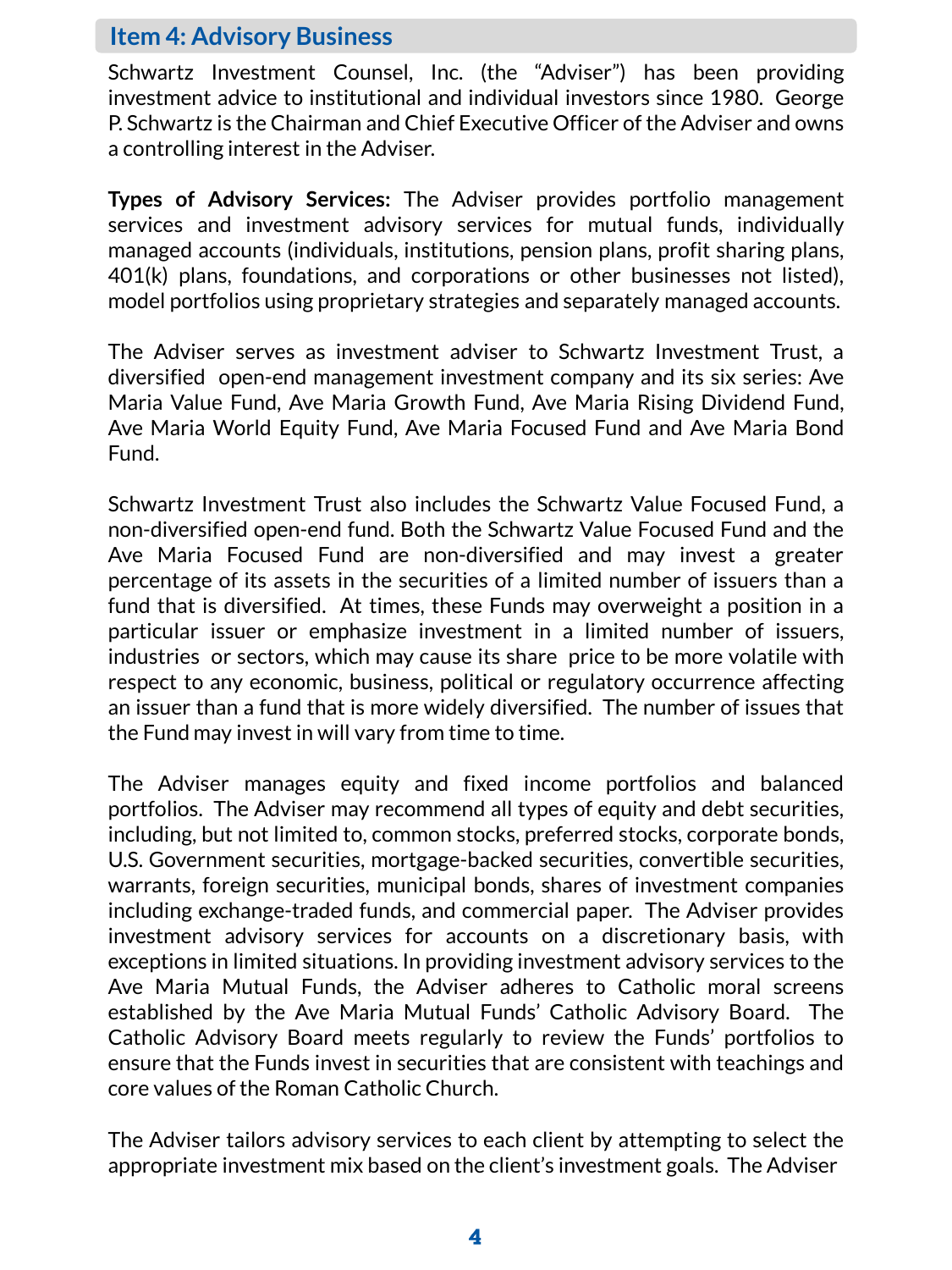#### **Item 4: Advisory Business**

Schwartz Investment Counsel, Inc. (the "Adviser") has been providing investment advice to institutional and individual investors since 1980. George P. Schwartz is the Chairman and Chief Executive Officer of the Adviser and owns a controlling interest in the Adviser.

**Types of Advisory Services:** The Adviser provides portfolio management services and investment advisory services for mutual funds, individually managed accounts (individuals, institutions, pension plans, profit sharing plans, 401(k) plans, foundations, and corporations or other businesses not listed), model portfolios using proprietary strategies and separately managed accounts.

The Adviser serves as investment adviser to Schwartz Investment Trust, a diversified open-end management investment company and its six series: Ave Maria Value Fund, Ave Maria Growth Fund, Ave Maria Rising Dividend Fund, Ave Maria World Equity Fund, Ave Maria Focused Fund and Ave Maria Bond Fund.

Schwartz Investment Trust also includes the Schwartz Value Focused Fund, a non-diversified open-end fund. Both the Schwartz Value Focused Fund and the Ave Maria Focused Fund are non-diversified and may invest a greater percentage of its assets in the securities of a limited number of issuers than a fund that is diversified. At times, these Funds may overweight a position in a particular issuer or emphasize investment in a limited number of issuers, industries or sectors, which may cause its share price to be more volatile with respect to any economic, business, political or regulatory occurrence affecting an issuer than a fund that is more widely diversified. The number of issues that the Fund may invest in will vary from time to time.

The Adviser manages equity and fixed income portfolios and balanced portfolios. The Adviser may recommend all types of equity and debt securities, including, but not limited to, common stocks, preferred stocks, corporate bonds, U.S. Government securities, mortgage-backed securities, convertible securities, warrants, foreign securities, municipal bonds, shares of investment companies including exchange-traded funds, and commercial paper. The Adviser provides investment advisory services for accounts on a discretionary basis, with exceptions in limited situations. In providing investment advisory services to the Ave Maria Mutual Funds, the Adviser adheres to Catholic moral screens established by the Ave Maria Mutual Funds' Catholic Advisory Board. The Catholic Advisory Board meets regularly to review the Funds' portfolios to ensure that the Funds invest in securities that are consistent with teachings and core values of the Roman Catholic Church.

The Adviser tailors advisory services to each client by attempting to select the appropriate investment mix based on the client's investment goals. The Adviser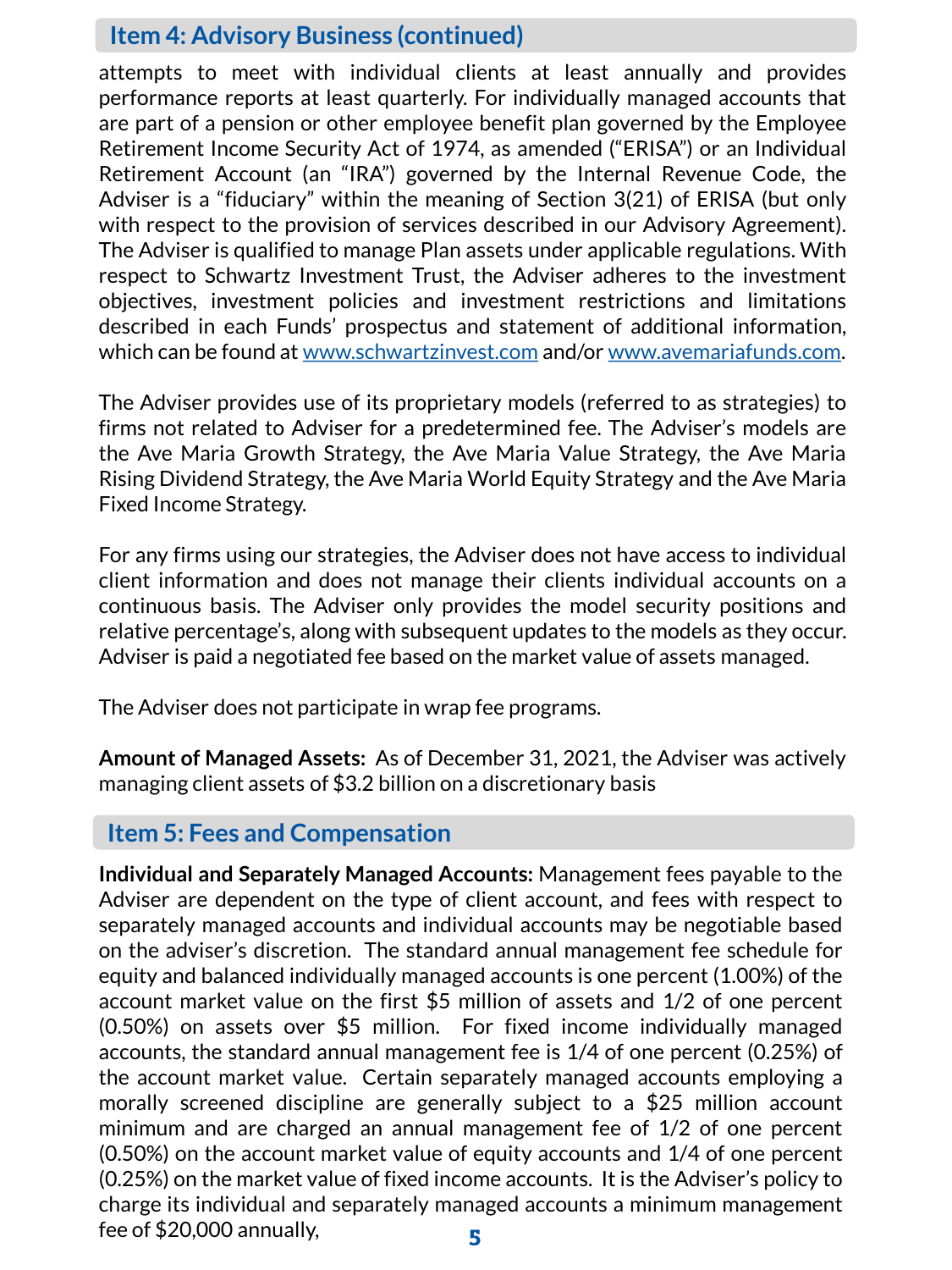#### **Item 4: Advisory Business (continued)**

attempts to meet with individual clients at least annually and provides performance reports at least quarterly. For individually managed accounts that are part of a pension or other employee benefit plan governed by the Employee Retirement Income Security Act of 1974, as amended ("ERISA") or an Individual Retirement Account (an "IRA") governed by the Internal Revenue Code, the Adviser is a "fiduciary" within the meaning of Section 3(21) of ERISA (but only with respect to the provision of services described in our Advisory Agreement). The Adviser is qualified to manage Plan assets under applicable regulations. With respect to Schwartz Investment Trust, the Adviser adheres to the investment objectives, investment policies and investment restrictions and limitations described in each Funds' prospectus and statement of additional information, which can be found at [www.schwartzinvest.com](http://www.schwartzinvest.com/) and/or www.avemariafunds.com.

The Adviser provides use of its proprietary models (referred to as strategies) to firms not related to Adviser for a predetermined fee. The Adviser's models are the Ave Maria Growth Strategy, the Ave Maria Value Strategy, the Ave Maria Rising Dividend Strategy, the Ave Maria World Equity Strategy and the Ave Maria Fixed Income Strategy.

For any firms using our strategies, the Adviser does not have access to individual client information and does not manage their clients individual accounts on a continuous basis. The Adviser only provides the model security positions and relative percentage's, along with subsequent updates to the models as they occur. Adviser is paid a negotiated fee based on the market value of assets managed.

The Adviser does not participate in wrap fee programs.

**Amount of Managed Assets:** As of December 31, 2021, the Adviser was actively managing client assets of \$3.2 billion on a discretionary basis

### **Item 5: Fees and Compensation**

**Individual and Separately Managed Accounts:** Management fees payable to the Adviser are dependent on the type of client account, and fees with respect to separately managed accounts and individual accounts may be negotiable based on the adviser's discretion. The standard annual management fee schedule for equity and balanced individually managed accounts is one percent (1.00%) of the account market value on the first \$5 million of assets and 1/2 of one percent (0.50%) on assets over \$5 million. For fixed income individually managed accounts, the standard annual management fee is 1/4 of one percent (0.25%) of the account market value. Certain separately managed accounts employing a morally screened discipline are generally subject to a \$25 million account minimum and are charged an annual management fee of 1/2 of one percent (0.50%) on the account market value of equity accounts and 1/4 of one percent (0.25%) on the market value of fixed income accounts. It is the Adviser's policy to charge its individual and separately managed accounts a minimum management fee of \$20,000 annually, 5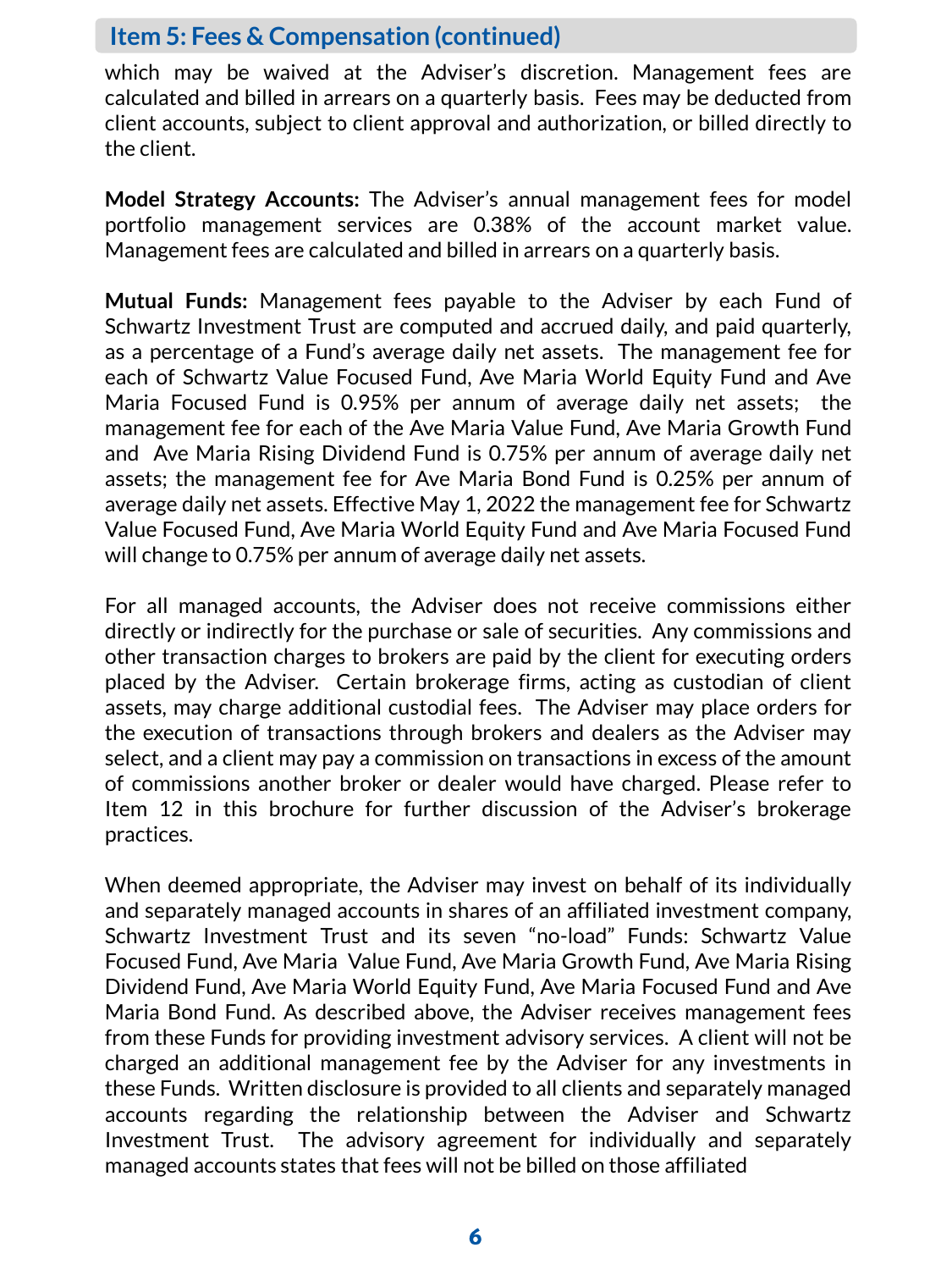#### **Item 5: Fees & Compensation (continued)**

which may be waived at the Adviser's discretion. Management fees are calculated and billed in arrears on a quarterly basis. Fees may be deducted from client accounts, subject to client approval and authorization, or billed directly to the client.

**Model Strategy Accounts:** The Adviser's annual management fees for model portfolio management services are 0.38% of the account market value. Management fees are calculated and billed in arrears on a quarterly basis.

**Mutual Funds:** Management fees payable to the Adviser by each Fund of Schwartz Investment Trust are computed and accrued daily, and paid quarterly, as a percentage of a Fund's average daily net assets. The management fee for each of Schwartz Value Focused Fund, Ave Maria World Equity Fund and Ave Maria Focused Fund is 0.95% per annum of average daily net assets; the management fee for each of the Ave Maria Value Fund, Ave Maria Growth Fund and Ave Maria Rising Dividend Fund is 0.75% per annum of average daily net assets; the management fee for Ave Maria Bond Fund is 0.25% per annum of average daily net assets. Effective May 1, 2022 the management fee for Schwartz Value Focused Fund, Ave Maria World Equity Fund and Ave Maria Focused Fund will change to 0.75% per annum of average daily net assets.

For all managed accounts, the Adviser does not receive commissions either directly or indirectly for the purchase or sale of securities. Any commissions and other transaction charges to brokers are paid by the client for executing orders placed by the Adviser. Certain brokerage firms, acting as custodian of client assets, may charge additional custodial fees. The Adviser may place orders for the execution of transactions through brokers and dealers as the Adviser may select, and a client may pay a commission on transactions in excess of the amount of commissions another broker or dealer would have charged. Please refer to Item 12 in this brochure for further discussion of the Adviser's brokerage practices.

When deemed appropriate, the Adviser may invest on behalf of its individually and separately managed accounts in shares of an affiliated investment company, Schwartz Investment Trust and its seven "no-load" Funds: Schwartz Value Focused Fund, Ave Maria Value Fund, Ave Maria Growth Fund, Ave Maria Rising Dividend Fund, Ave Maria World Equity Fund, Ave Maria Focused Fund and Ave Maria Bond Fund. As described above, the Adviser receives management fees from these Funds for providing investment advisory services. A client will not be charged an additional management fee by the Adviser for any investments in these Funds. Written disclosure is provided to all clients and separately managed accounts regarding the relationship between the Adviser and Schwartz Investment Trust. The advisory agreement for individually and separately managed accounts states that fees will not be billed on those affiliated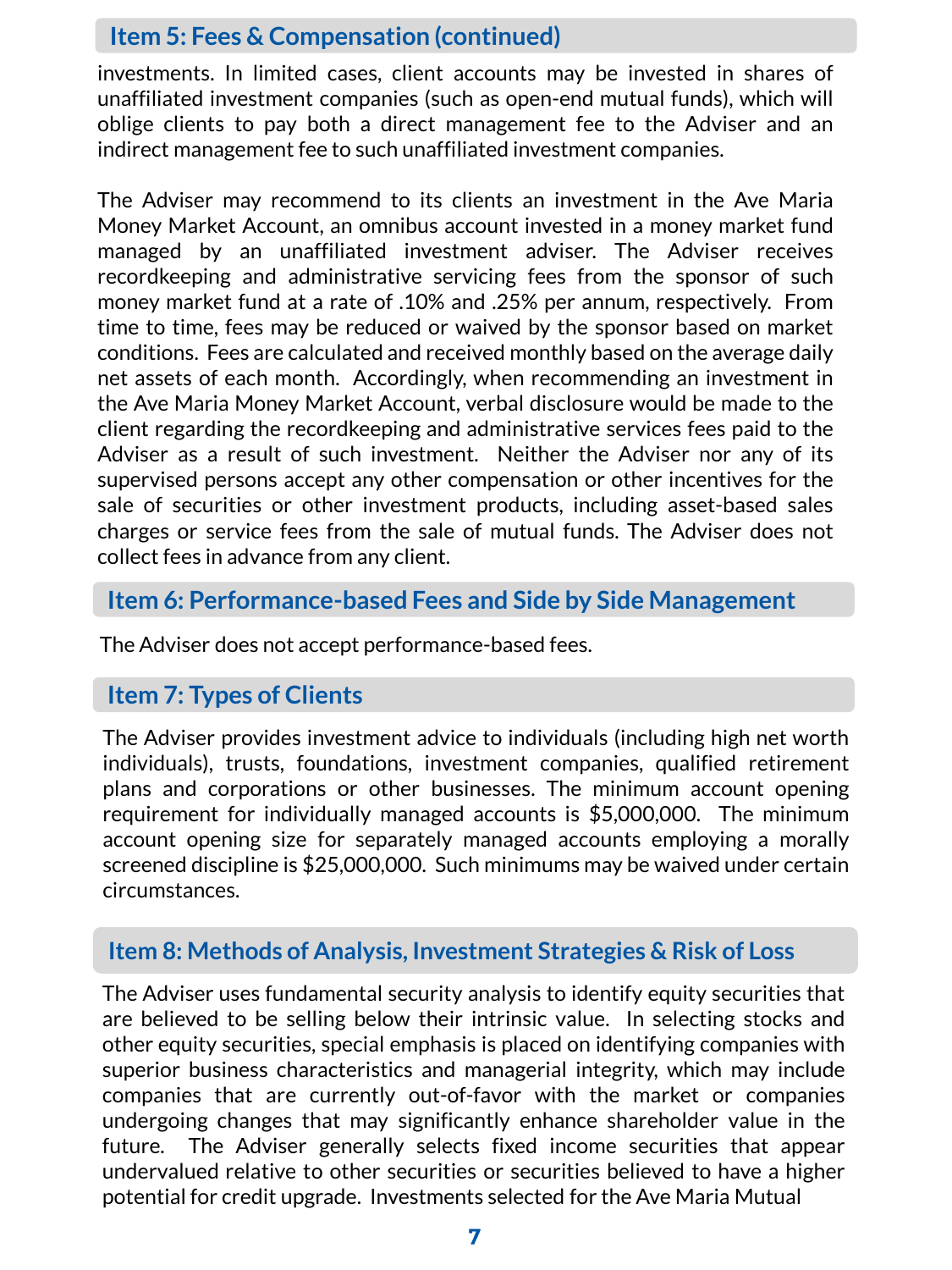### **Item 5: Fees & Compensation (continued)**

investments. In limited cases, client accounts may be invested in shares of unaffiliated investment companies (such as open-end mutual funds), which will oblige clients to pay both a direct management fee to the Adviser and an indirect management fee to such unaffiliated investment companies.

The Adviser may recommend to its clients an investment in the Ave Maria Money Market Account, an omnibus account invested in a money market fund managed by an unaffiliated investment adviser. The Adviser receives recordkeeping and administrative servicing fees from the sponsor of such money market fund at a rate of .10% and .25% per annum, respectively. From time to time, fees may be reduced or waived by the sponsor based on market conditions. Fees are calculated and received monthly based on the average daily net assets of each month. Accordingly, when recommending an investment in the Ave Maria Money Market Account, verbal disclosure would be made to the client regarding the recordkeeping and administrative services fees paid to the Adviser as a result of such investment. Neither the Adviser nor any of its supervised persons accept any other compensation or other incentives for the sale of securities or other investment products, including asset-based sales charges or service fees from the sale of mutual funds. The Adviser does not collect fees in advance from any client.

### **Item 6: Performance-based Fees and Side by Side Management**

The Adviser does not accept performance-based fees.

## **Item 7: Types of Clients**

The Adviser provides investment advice to individuals (including high net worth individuals), trusts, foundations, investment companies, qualified retirement plans and corporations or other businesses. The minimum account opening requirement for individually managed accounts is \$5,000,000. The minimum account opening size for separately managed accounts employing a morally screened discipline is \$25,000,000. Such minimums may be waived under certain circumstances.

### **Item 8: Methods of Analysis, Investment Strategies & Risk of Loss**

The Adviser uses fundamental security analysis to identify equity securities that are believed to be selling below their intrinsic value. In selecting stocks and other equity securities, special emphasis is placed on identifying companies with superior business characteristics and managerial integrity, which may include companies that are currently out-of-favor with the market or companies undergoing changes that may significantly enhance shareholder value in the future. The Adviser generally selects fixed income securities that appear undervalued relative to other securities or securities believed to have a higher potential for credit upgrade. Investments selected for the Ave Maria Mutual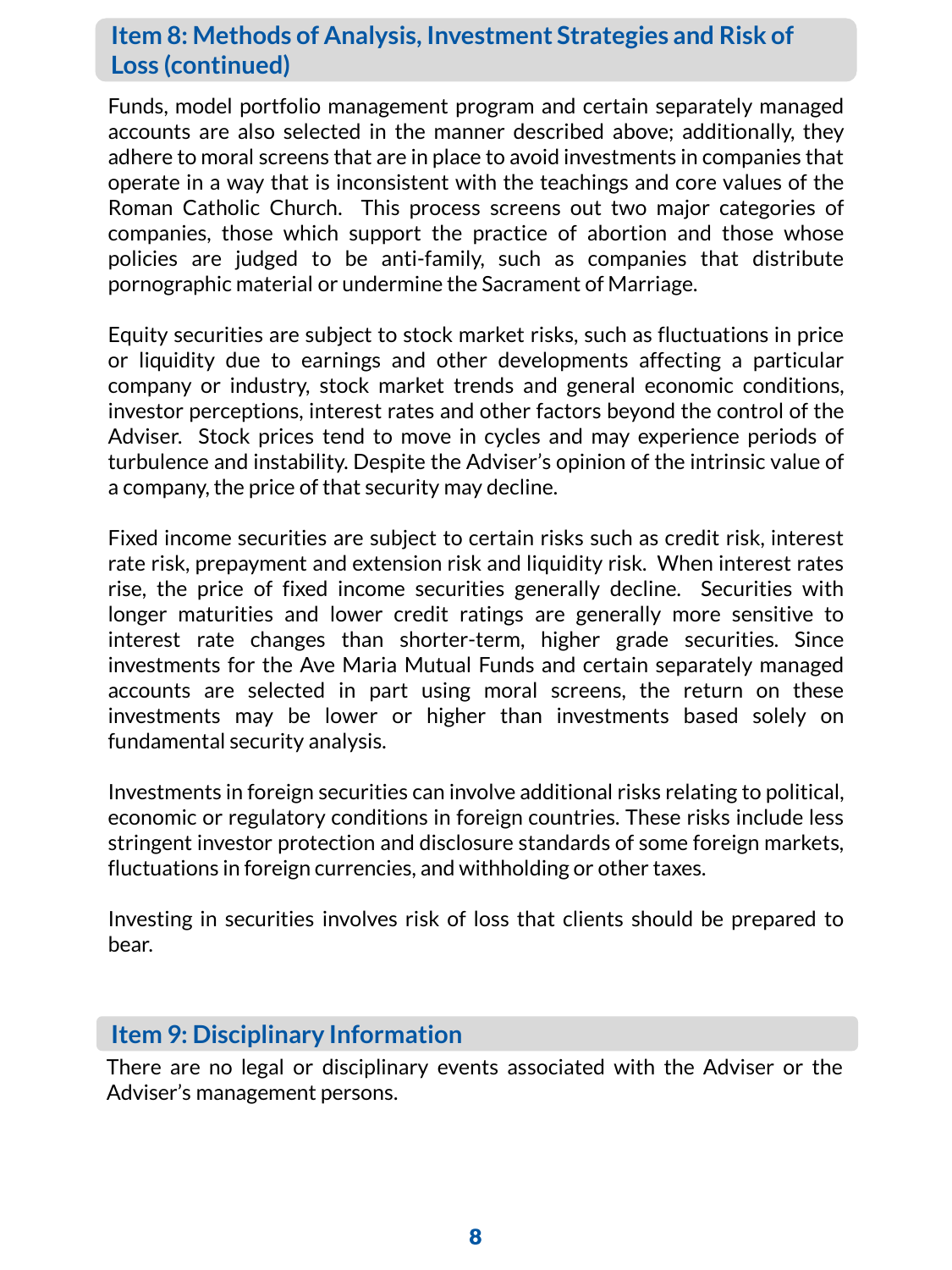# **Item 8: Methods of Analysis, Investment Strategies and Risk of Loss (continued)**

Funds, model portfolio management program and certain separately managed accounts are also selected in the manner described above; additionally, they adhere to moral screens that are in place to avoid investments in companies that operate in a way that is inconsistent with the teachings and core values of the Roman Catholic Church. This process screens out two major categories of companies, those which support the practice of abortion and those whose policies are judged to be anti-family, such as companies that distribute pornographic material or undermine the Sacrament of Marriage.

Equity securities are subject to stock market risks, such as fluctuations in price or liquidity due to earnings and other developments affecting a particular company or industry, stock market trends and general economic conditions, investor perceptions, interest rates and other factors beyond the control of the Adviser. Stock prices tend to move in cycles and may experience periods of turbulence and instability. Despite the Adviser's opinion of the intrinsic value of a company, the price of that security may decline.

Fixed income securities are subject to certain risks such as credit risk, interest rate risk, prepayment and extension risk and liquidity risk. When interest rates rise, the price of fixed income securities generally decline. Securities with longer maturities and lower credit ratings are generally more sensitive to interest rate changes than shorter-term, higher grade securities. Since investments for the Ave Maria Mutual Funds and certain separately managed accounts are selected in part using moral screens, the return on these investments may be lower or higher than investments based solely on fundamental security analysis.

Investments in foreign securities can involve additional risks relating to political, economic or regulatory conditions in foreign countries. These risks include less stringent investor protection and disclosure standards of some foreign markets, fluctuations in foreign currencies, and withholding or other taxes.

Investing in securities involves risk of loss that clients should be prepared to bear.

### **Item 9: Disciplinary Information**

There are no legal or disciplinary events associated with the Adviser or the Adviser's management persons.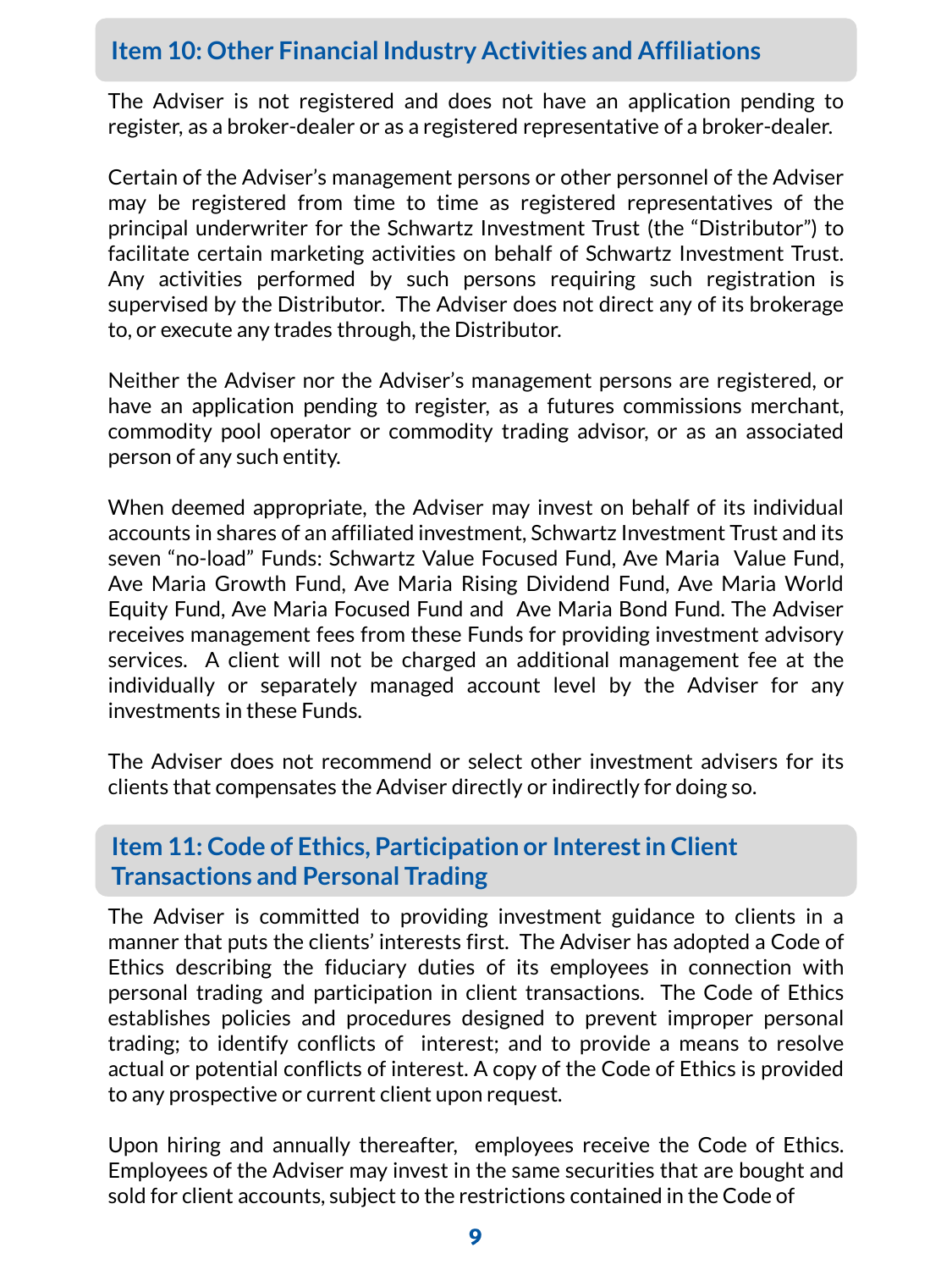# **Item 10: Other Financial Industry Activities and Affiliations**

The Adviser is not registered and does not have an application pending to register, as a broker-dealer or as a registered representative of a broker-dealer.

Certain of the Adviser's management persons or other personnel of the Adviser may be registered from time to time as registered representatives of the principal underwriter for the Schwartz Investment Trust (the "Distributor") to facilitate certain marketing activities on behalf of Schwartz Investment Trust. Any activities performed by such persons requiring such registration is supervised by the Distributor. The Adviser does not direct any of its brokerage to, or execute any trades through, the Distributor.

Neither the Adviser nor the Adviser's management persons are registered, or have an application pending to register, as a futures commissions merchant, commodity pool operator or commodity trading advisor, or as an associated person of any such entity.

When deemed appropriate, the Adviser may invest on behalf of its individual accounts in shares of an affiliated investment, Schwartz Investment Trust and its seven "no-load" Funds: Schwartz Value Focused Fund, Ave Maria Value Fund, Ave Maria Growth Fund, Ave Maria Rising Dividend Fund, Ave Maria World Equity Fund, Ave Maria Focused Fund and Ave Maria Bond Fund. The Adviser receives management fees from these Funds for providing investment advisory services. A client will not be charged an additional management fee at the individually or separately managed account level by the Adviser for any investments in these Funds.

The Adviser does not recommend or select other investment advisers for its clients that compensates the Adviser directly or indirectly for doing so.

## **Item 11: Code of Ethics, Participation or Interest in Client Transactions and Personal Trading**

The Adviser is committed to providing investment guidance to clients in a manner that puts the clients' interests first. The Adviser has adopted a Code of Ethics describing the fiduciary duties of its employees in connection with personal trading and participation in client transactions. The Code of Ethics establishes policies and procedures designed to prevent improper personal trading; to identify conflicts of interest; and to provide a means to resolve actual or potential conflicts of interest. A copy of the Code of Ethics is provided to any prospective or current client upon request.

Upon hiring and annually thereafter, employees receive the Code of Ethics. Employees of the Adviser may invest in the same securities that are bought and sold for client accounts, subject to the restrictions contained in the Code of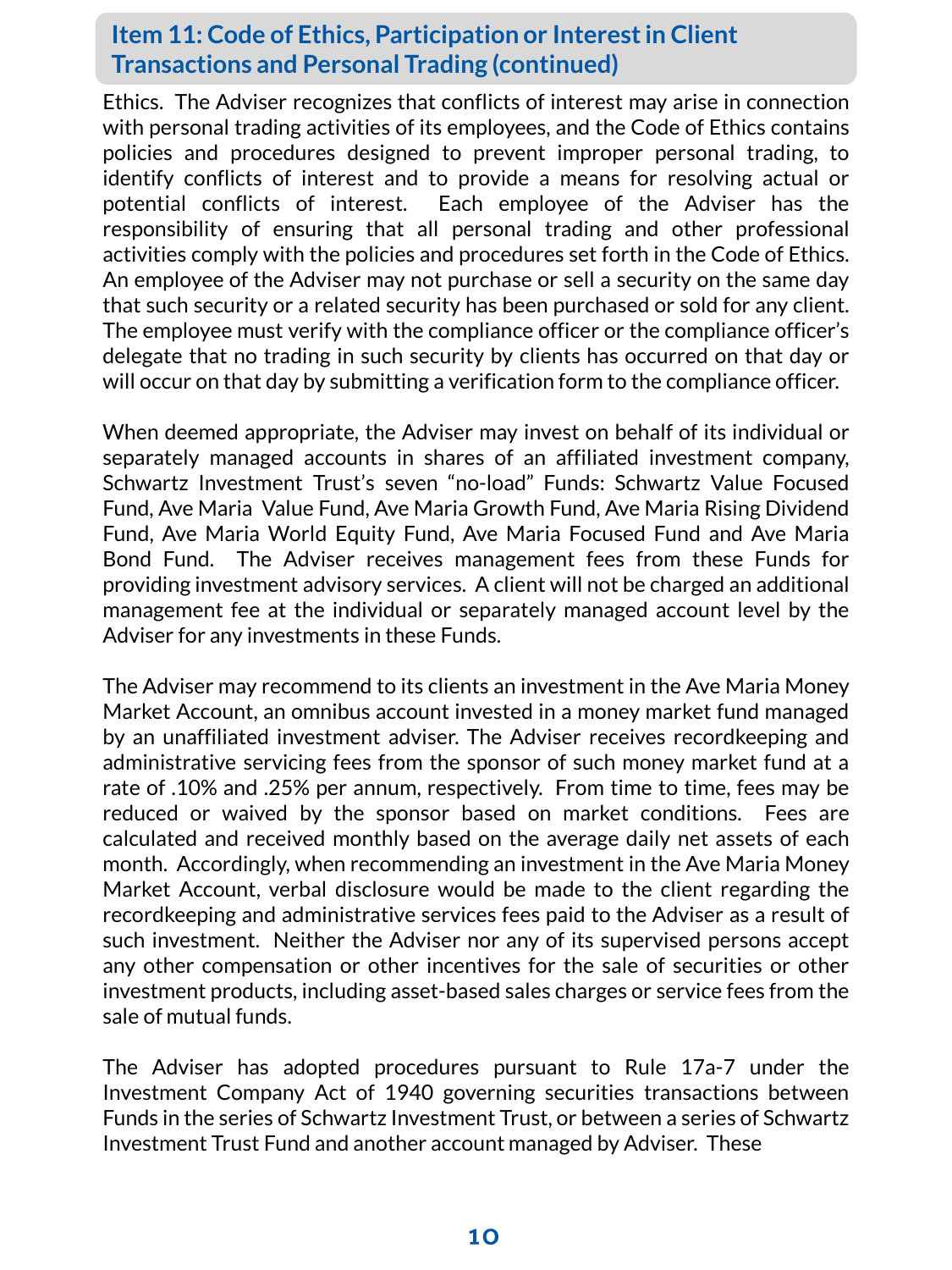## **Item 11: Code of Ethics, Participation or Interest in Client Transactions and Personal Trading (continued)**

Ethics. The Adviser recognizes that conflicts of interest may arise in connection with personal trading activities of its employees, and the Code of Ethics contains policies and procedures designed to prevent improper personal trading, to identify conflicts of interest and to provide a means for resolving actual or potential conflicts of interest. Each employee of the Adviser has the responsibility of ensuring that all personal trading and other professional activities comply with the policies and procedures set forth in the Code of Ethics. An employee of the Adviser may not purchase or sell a security on the same day that such security or a related security has been purchased or sold for any client. The employee must verify with the compliance officer or the compliance officer's delegate that no trading in such security by clients has occurred on that day or will occur on that day by submitting a verification form to the compliance officer.

When deemed appropriate, the Adviser may invest on behalf of its individual or separately managed accounts in shares of an affiliated investment company, Schwartz Investment Trust's seven "no-load" Funds: Schwartz Value Focused Fund, Ave Maria Value Fund, Ave Maria Growth Fund, Ave Maria Rising Dividend Fund, Ave Maria World Equity Fund, Ave Maria Focused Fund and Ave Maria Bond Fund. The Adviser receives management fees from these Funds for providing investment advisory services. A client will not be charged an additional management fee at the individual or separately managed account level by the Adviser for any investments in these Funds.

The Adviser may recommend to its clients an investment in the Ave Maria Money Market Account, an omnibus account invested in a money market fund managed by an unaffiliated investment adviser. The Adviser receives recordkeeping and administrative servicing fees from the sponsor of such money market fund at a rate of .10% and .25% per annum, respectively. From time to time, fees may be reduced or waived by the sponsor based on market conditions. Fees are calculated and received monthly based on the average daily net assets of each month. Accordingly, when recommending an investment in the Ave Maria Money Market Account, verbal disclosure would be made to the client regarding the recordkeeping and administrative services fees paid to the Adviser as a result of such investment. Neither the Adviser nor any of its supervised persons accept any other compensation or other incentives for the sale of securities or other investment products, including asset-based sales charges or service fees from the sale of mutual funds.

The Adviser has adopted procedures pursuant to Rule 17a-7 under the Investment Company Act of 1940 governing securities transactions between Funds in the series of Schwartz Investment Trust, or between a series of Schwartz Investment Trust Fund and another account managed by Adviser. These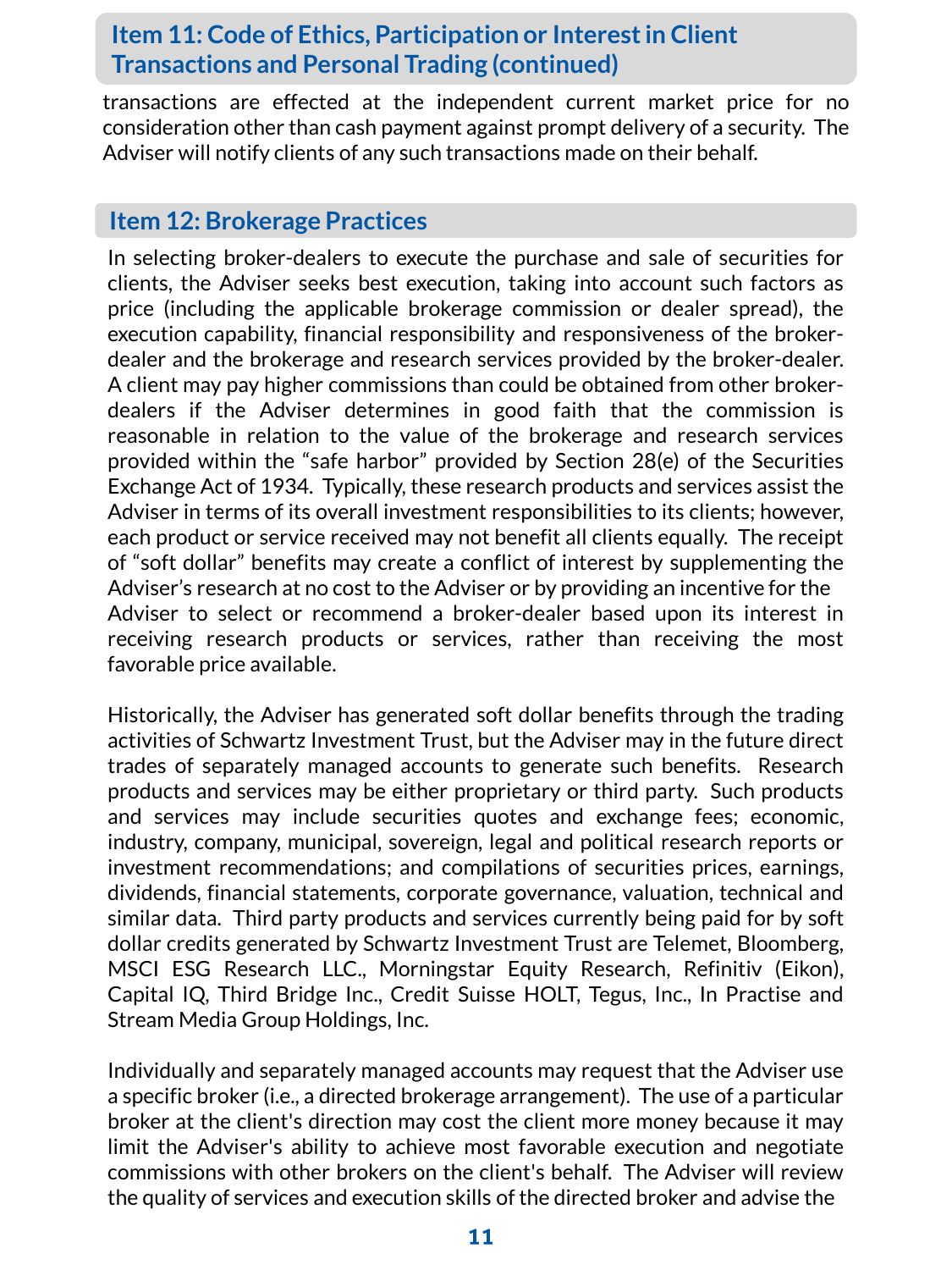## **Item 11: Code of Ethics, Participation or Interest in Client Transactions and Personal Trading (continued)**

transactions are effected at the independent current market price for no consideration other than cash payment against prompt delivery of a security. The Adviser will notify clients of any such transactions made on their behalf.

#### **Item 12: Brokerage Practices**

In selecting broker-dealers to execute the purchase and sale of securities for clients, the Adviser seeks best execution, taking into account such factors as price (including the applicable brokerage commission or dealer spread), the execution capability, financial responsibility and responsiveness of the brokerdealer and the brokerage and research services provided by the broker-dealer. A client may pay higher commissions than could be obtained from other brokerdealers if the Adviser determines in good faith that the commission is reasonable in relation to the value of the brokerage and research services provided within the "safe harbor" provided by Section 28(e) of the Securities Exchange Act of 1934. Typically, these research products and services assist the Adviser in terms of its overall investment responsibilities to its clients; however, each product or service received may not benefit all clients equally. The receipt of "soft dollar" benefits may create a conflict of interest by supplementing the Adviser's research at no cost to the Adviser or by providing an incentive for the Adviser to select or recommend a broker-dealer based upon its interest in receiving research products or services, rather than receiving the most favorable price available.

Historically, the Adviser has generated soft dollar benefits through the trading activities of Schwartz Investment Trust, but the Adviser may in the future direct trades of separately managed accounts to generate such benefits. Research products and services may be either proprietary or third party. Such products and services may include securities quotes and exchange fees; economic, industry, company, municipal, sovereign, legal and political research reports or investment recommendations; and compilations of securities prices, earnings, dividends, financial statements, corporate governance, valuation, technical and similar data. Third party products and services currently being paid for by soft dollar credits generated by Schwartz Investment Trust are Telemet, Bloomberg, MSCI ESG Research LLC., Morningstar Equity Research, Refinitiv (Eikon), Capital IQ, Third Bridge Inc., Credit Suisse HOLT, Tegus, Inc., In Practise and Stream Media Group Holdings, Inc.

Individually and separately managed accounts may request that the Adviser use a specific broker (i.e., a directed brokerage arrangement). The use of a particular broker at the client's direction may cost the client more money because it may limit the Adviser's ability to achieve most favorable execution and negotiate commissions with other brokers on the client's behalf. The Adviser will review the quality of services and execution skills ofthe directed broker and advise the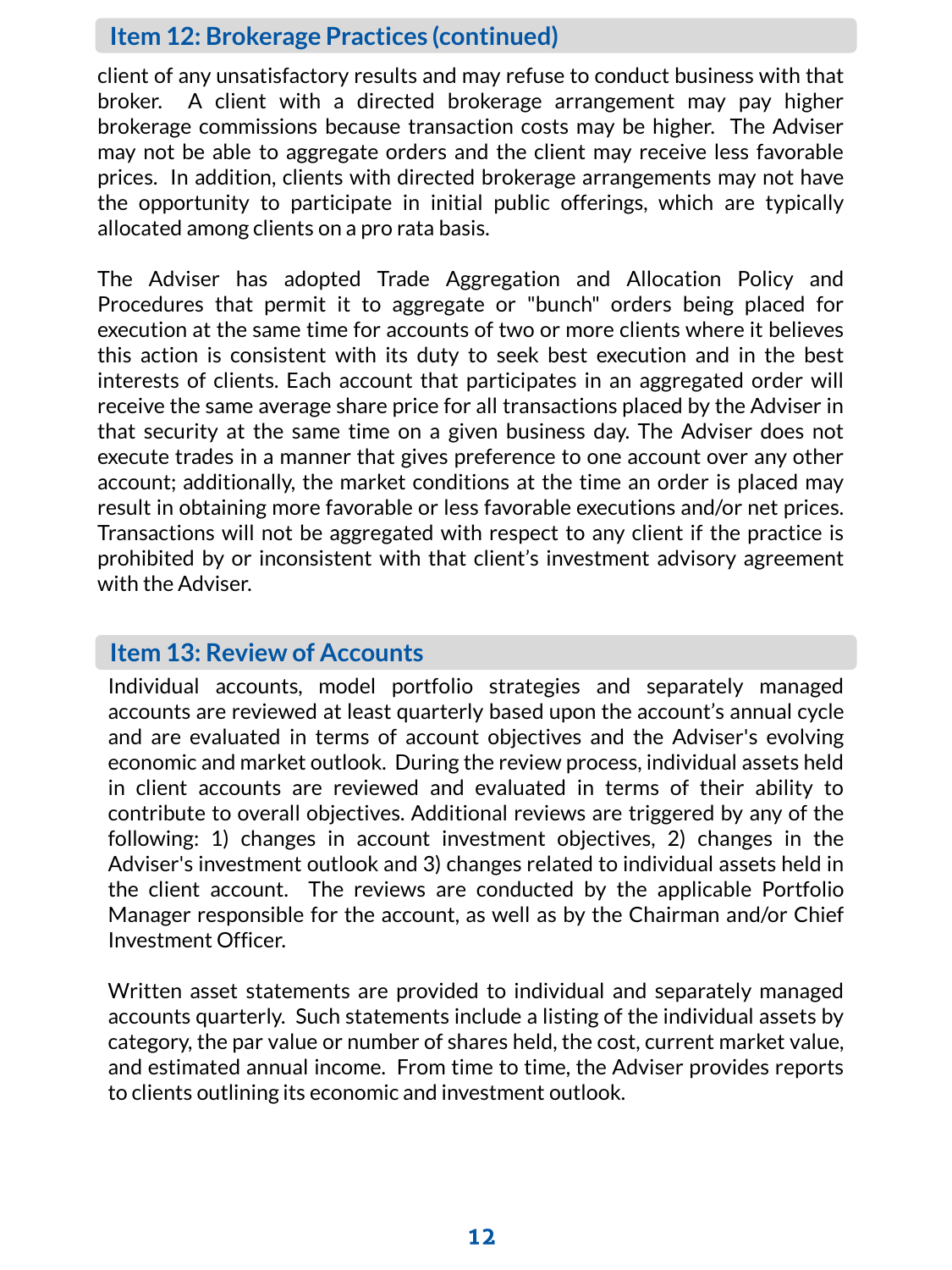#### **Item 12: Brokerage Practices (continued)**

client of any unsatisfactory results and may refuse to conduct business with that broker. A client with a directed brokerage arrangement may pay higher brokerage commissions because transaction costs may be higher. The Adviser may not be able to aggregate orders and the client may receive less favorable prices. In addition, clients with directed brokerage arrangements may not have the opportunity to participate in initial public offerings, which are typically allocated among clients on a pro rata basis.

The Adviser has adopted Trade Aggregation and Allocation Policy and Procedures that permit it to aggregate or "bunch" orders being placed for execution at the same time for accounts of two or more clients where it believes this action is consistent with its duty to seek best execution and in the best interests of clients. Each account that participates in an aggregated order will receive the same average share price for all transactions placed by the Adviser in that security at the same time on a given business day. The Adviser does not execute trades in a manner that gives preference to one account over any other account; additionally, the market conditions at the time an order is placed may result in obtaining more favorable or less favorable executions and/or net prices. Transactions will not be aggregated with respect to any client if the practice is prohibited by or inconsistent with that client's investment advisory agreement with the Adviser.

## **Item 13: Review of Accounts**

Individual accounts, model portfolio strategies and separately managed accounts are reviewed at least quarterly based upon the account's annual cycle and are evaluated in terms of account objectives and the Adviser's evolving economic and market outlook. During the review process, individual assets held in client accounts are reviewed and evaluated in terms of their ability to contribute to overall objectives. Additional reviews are triggered by any of the following: 1) changes in account investment objectives, 2) changes in the Adviser's investment outlook and 3) changes related to individual assets held in the client account. The reviews are conducted by the applicable Portfolio Manager responsible for the account, as well as by the Chairman and/or Chief Investment Officer.

Written asset statements are provided to individual and separately managed accounts quarterly. Such statements include a listing of the individual assets by category, the par value or number of shares held, the cost, current market value, and estimated annual income. From time to time, the Adviser provides reports to clients outlining its economic and investment outlook.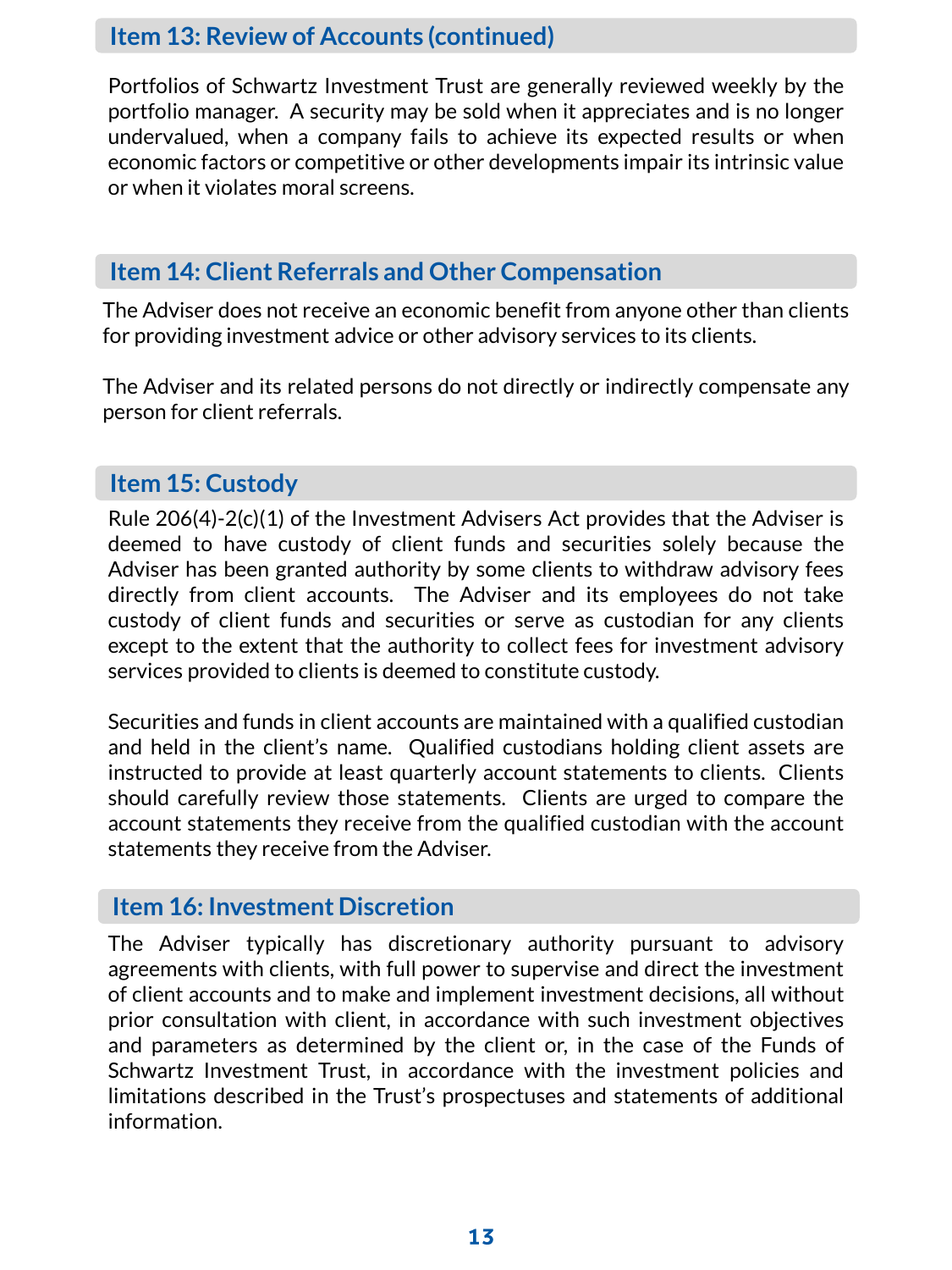### **Item 13: Review of Accounts (continued)**

Portfolios of Schwartz Investment Trust are generally reviewed weekly by the portfolio manager. A security may be sold when it appreciates and is no longer undervalued, when a company fails to achieve its expected results or when economic factors or competitive or other developments impair its intrinsic value or when it violates moral screens.

## **Item 14: Client Referrals and Other Compensation**

The Adviser does not receive an economic benefit from anyone other than clients for providing investment advice or other advisory services to its clients.

The Adviser and its related persons do not directly or indirectly compensate any person for client referrals.

#### **Item 15: Custody**

Rule 206(4)-2(c)(1) of the Investment Advisers Act provides that the Adviser is deemed to have custody of client funds and securities solely because the Adviser has been granted authority by some clients to withdraw advisory fees directly from client accounts. The Adviser and its employees do not take custody of client funds and securities or serve as custodian for any clients except to the extent that the authority to collect fees for investment advisory services provided to clients is deemed to constitute custody.

Securities and funds in client accounts are maintained with a qualified custodian and held in the client's name. Qualified custodians holding client assets are instructed to provide at least quarterly account statements to clients. Clients should carefully review those statements. Clients are urged to compare the account statements they receive from the qualified custodian with the account statements they receive from the Adviser.

### **Item 16: Investment Discretion**

The Adviser typically has discretionary authority pursuant to advisory agreements with clients, with full power to supervise and direct the investment of client accounts and to make and implement investment decisions, all without prior consultation with client, in accordance with such investment objectives and parameters as determined by the client or, in the case of the Funds of Schwartz Investment Trust, in accordance with the investment policies and limitations described in the Trust's prospectuses and statements of additional information.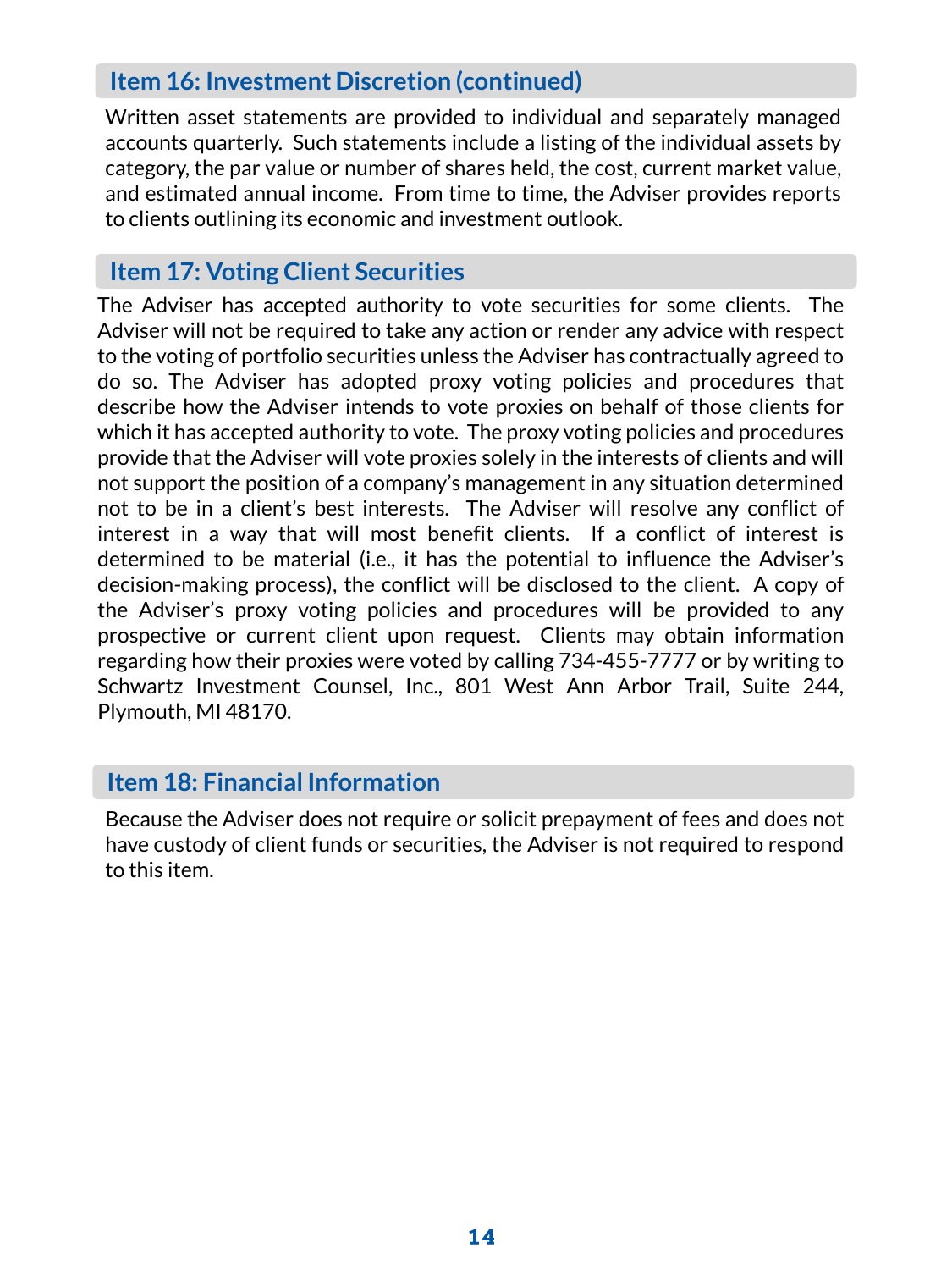# **Item 16: Investment Discretion (continued)**

Written asset statements are provided to individual and separately managed accounts quarterly. Such statements include a listing of the individual assets by category, the par value or number of shares held, the cost, current market value, and estimated annual income. From time to time, the Adviser provides reports to clients outlining its economic and investment outlook.

# **Item 17: Voting Client Securities**

The Adviser has accepted authority to vote securities for some clients. The Adviser will not be required to take any action or render any advice with respect to the voting of portfolio securities unless the Adviser has contractually agreed to do so. The Adviser has adopted proxy voting policies and procedures that describe how the Adviser intends to vote proxies on behalf of those clients for which it has accepted authority to vote. The proxy voting policies and procedures provide that the Adviser will vote proxies solely in the interests of clients and will not support the position of a company's management in any situation determined not to be in a client's best interests. The Adviser will resolve any conflict of interest in a way that will most benefit clients. If a conflict of interest is determined to be material (i.e., it has the potential to influence the Adviser's decision-making process), the conflict will be disclosed to the client. A copy of the Adviser's proxy voting policies and procedures will be provided to any prospective or current client upon request. Clients may obtain information regarding how their proxies were voted by calling 734-455-7777 or by writing to Schwartz Investment Counsel, Inc., 801 West Ann Arbor Trail, Suite 244, Plymouth, MI 48170.

## **Item 18: Financial Information**

Because the Adviser does not require or solicit prepayment of fees and does not have custody of client funds or securities, the Adviser is not required to respond to this item.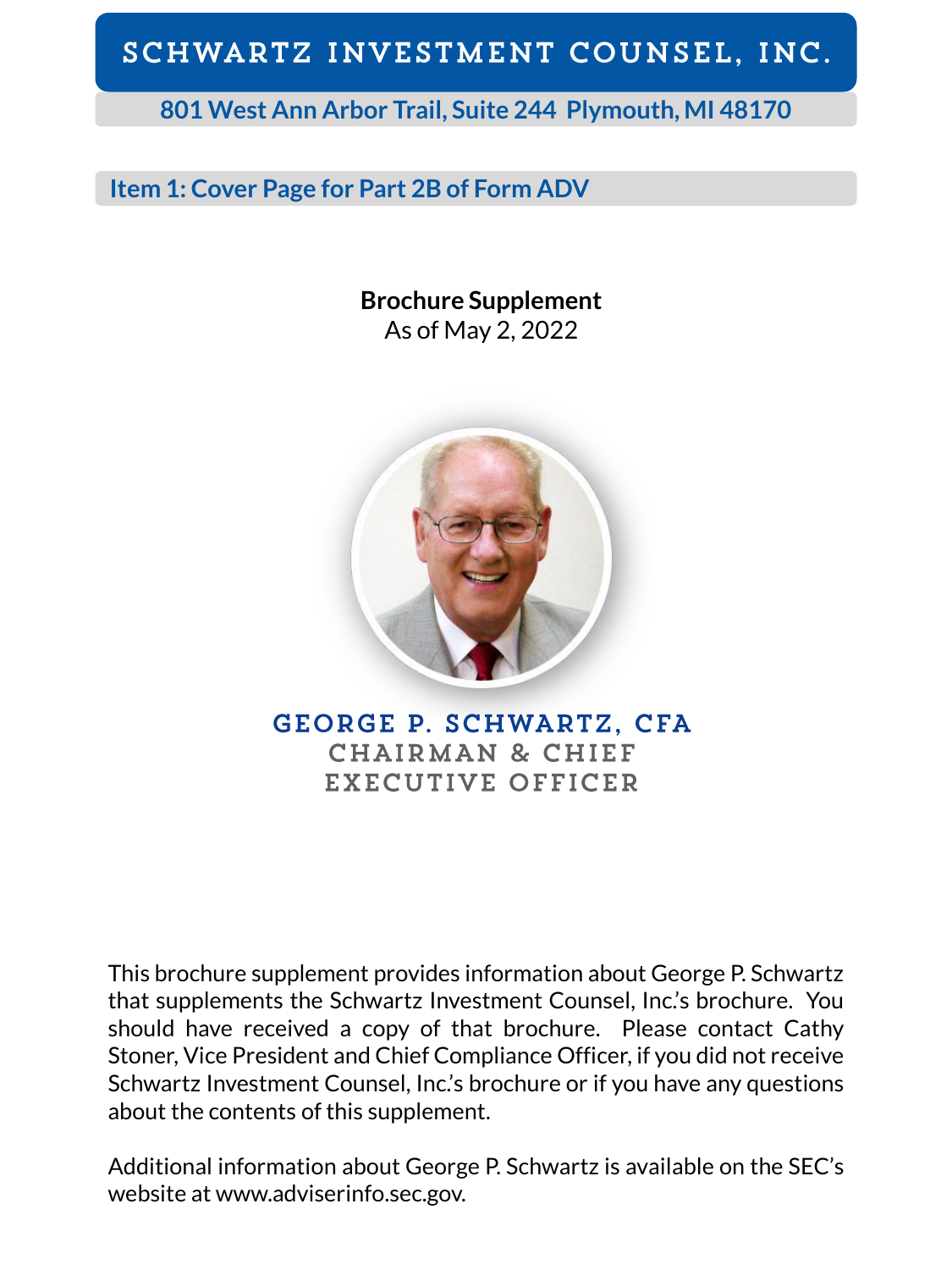**801 West Ann Arbor Trail, Suite 244 Plymouth, MI 48170**

# **Item 1: Cover Page for Part 2B of Form ADV**

**Brochure Supplement** As of May 2, 2022



**GEORGE P. SCHWARTZ, CFA CHAIRMAN & CHIEF** EXECUTIVE OFFICER

This brochure supplement provides information about George P. Schwartz that supplements the Schwartz Investment Counsel, Inc.'s brochure. You should have received a copy of that brochure. Please contact Cathy Stoner, Vice President and Chief Compliance Officer, if you did not receive Schwartz Investment Counsel, Inc.'s brochure or if you have any questions about the contents of this supplement.

Additional information about George P. Schwartz is available on the SEC's website at www.adviserinfo.sec.gov.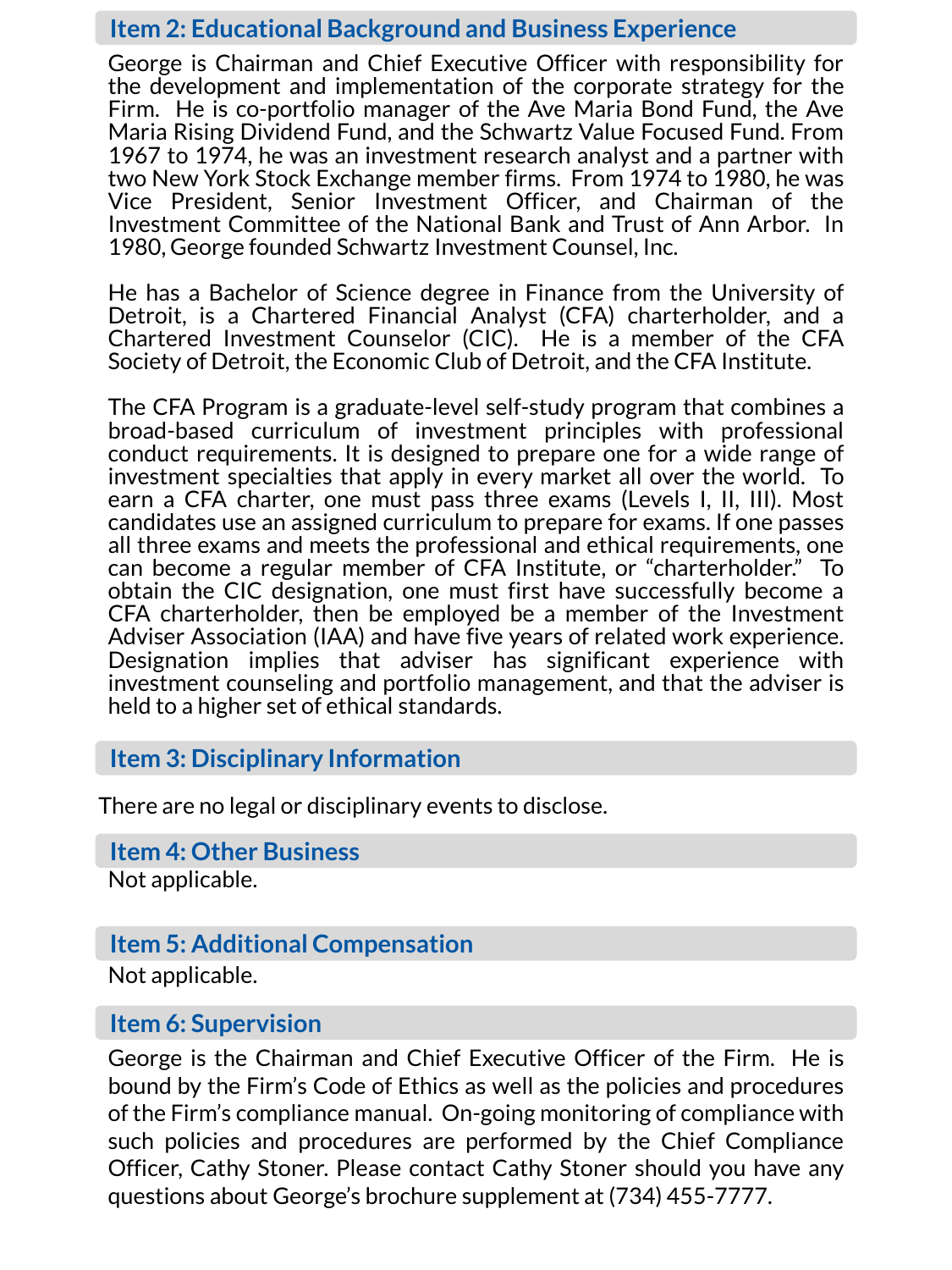George is Chairman and Chief Executive Officer with responsibility for the development and implementation of the corporate strategy for the Firm. He is co-portfolio manager of the Ave Maria Bond Fund, the Ave Maria Rising Dividend Fund, and the Schwartz Value Focused Fund. From 1967 to 1974, he was an investment research analyst and a partner with two New York Stock Exchange member firms. From 1974 to 1980, he was Vice President, Senior Investment Officer, and Chairman of the Investment Committee of the National Bank and Trust of Ann Arbor. In 1980, George founded Schwartz Investment Counsel, Inc.

He has a Bachelor of Science degree in Finance from the University of Detroit, is a Chartered Financial Analyst (CFA) charterholder, and a Chartered Investment Counselor (CIC). He is a member of the CFA Society of Detroit, the Economic Club of Detroit, and the CFA Institute.

The CFA Program is a graduate-level self-study program that combines a broad-based curriculum of investment principles with professional conduct requirements. It is designed to prepare one for a wide range of investment specialties that apply in every market all over the world. To earn a CFA charter, one must pass three exams (Levels I, II, III). Most candidates use an assigned curriculum to prepare for exams. If one passes all three exams and meets the professional and ethical requirements, one can become a regular member of CFA Institute, or "charterholder." To obtain the CIC designation, one must first have successfully become a CFA charterholder, then be employed be a member of the Investment Adviser Association (IAA) and have five years of related work experience. Designation implies that adviser has significant experience with investment counseling and portfolio management, and that the adviser is held to a higher set of ethical standards.

#### **Item 3: Disciplinary Information**

There are no legal or disciplinary events to disclose.

#### **Item 4: Other Business**

Not applicable.

### **Item 5: Additional Compensation**

Not applicable.

#### **Item 6: Supervision**

George is the Chairman and Chief Executive Officer of the Firm. He is bound by the Firm's Code of Ethics as well as the policies and procedures of the Firm's compliance manual. On-going monitoring of compliance with such policies and procedures are performed by the Chief Compliance Officer, Cathy Stoner. Please contact Cathy Stoner should you have any questions about George's brochure supplement at (734) 455-7777.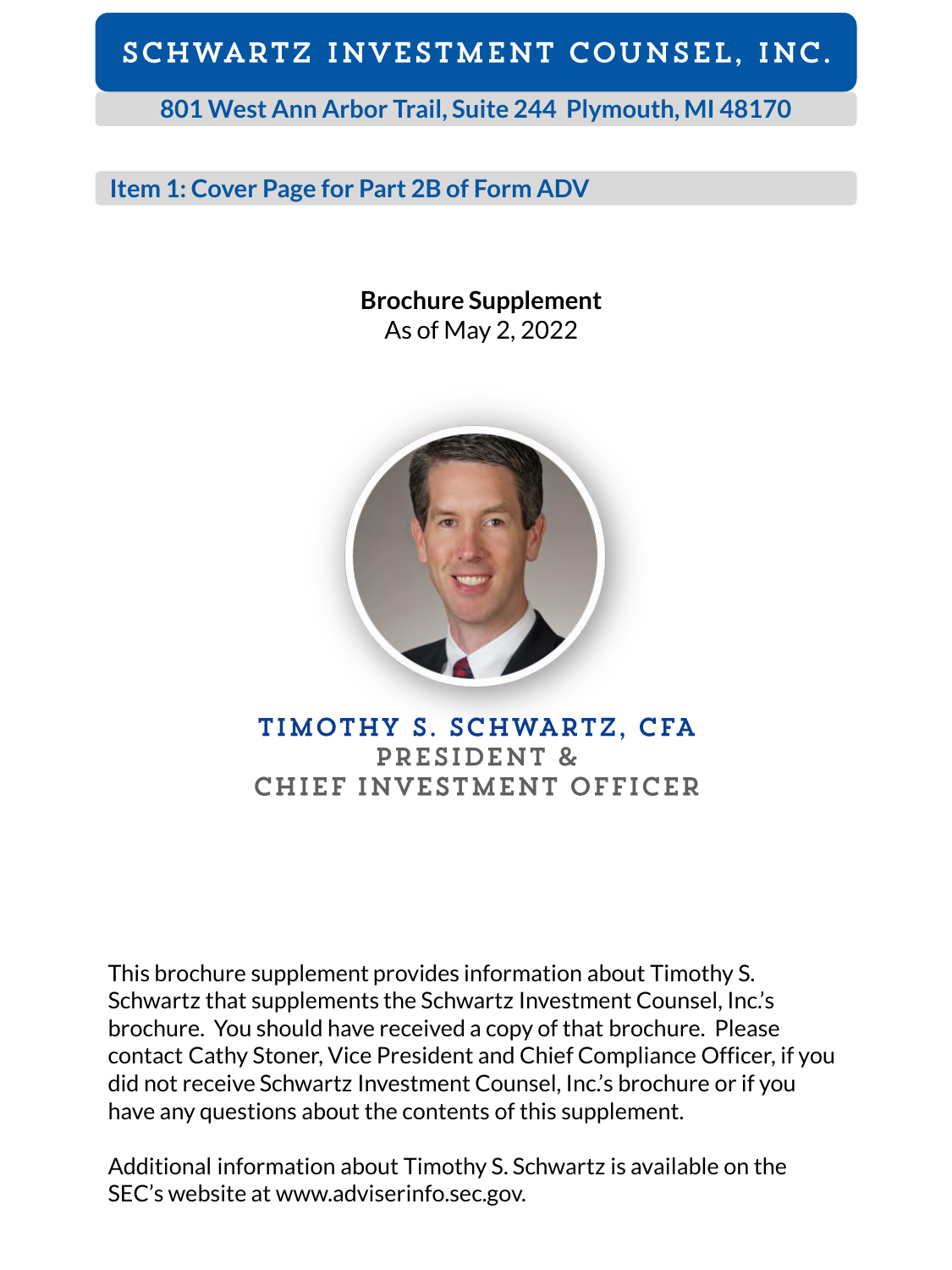## **801 West Ann Arbor Trail, Suite 244 Plymouth, MI 48170**

### **Item 1: Cover Page for Part 2B of Form ADV**

**Brochure Supplement** As of May 2, 2022



TIMOTHY S. SCHWARTZ, CFA PRESIDENT & CHIEF INVESTMENT OFFICER

This brochure supplement provides information about Timothy S. Schwartz that supplements the Schwartz Investment Counsel, Inc.'s brochure. You should have received a copy of that brochure. Please contact Cathy Stoner, Vice President and Chief Compliance Officer, if you did not receive Schwartz Investment Counsel, Inc.'s brochure or if you have any questions about the contents of this supplement.

Additional information about Timothy S. Schwartz is available on the SEC's website at www.adviserinfo.sec.gov.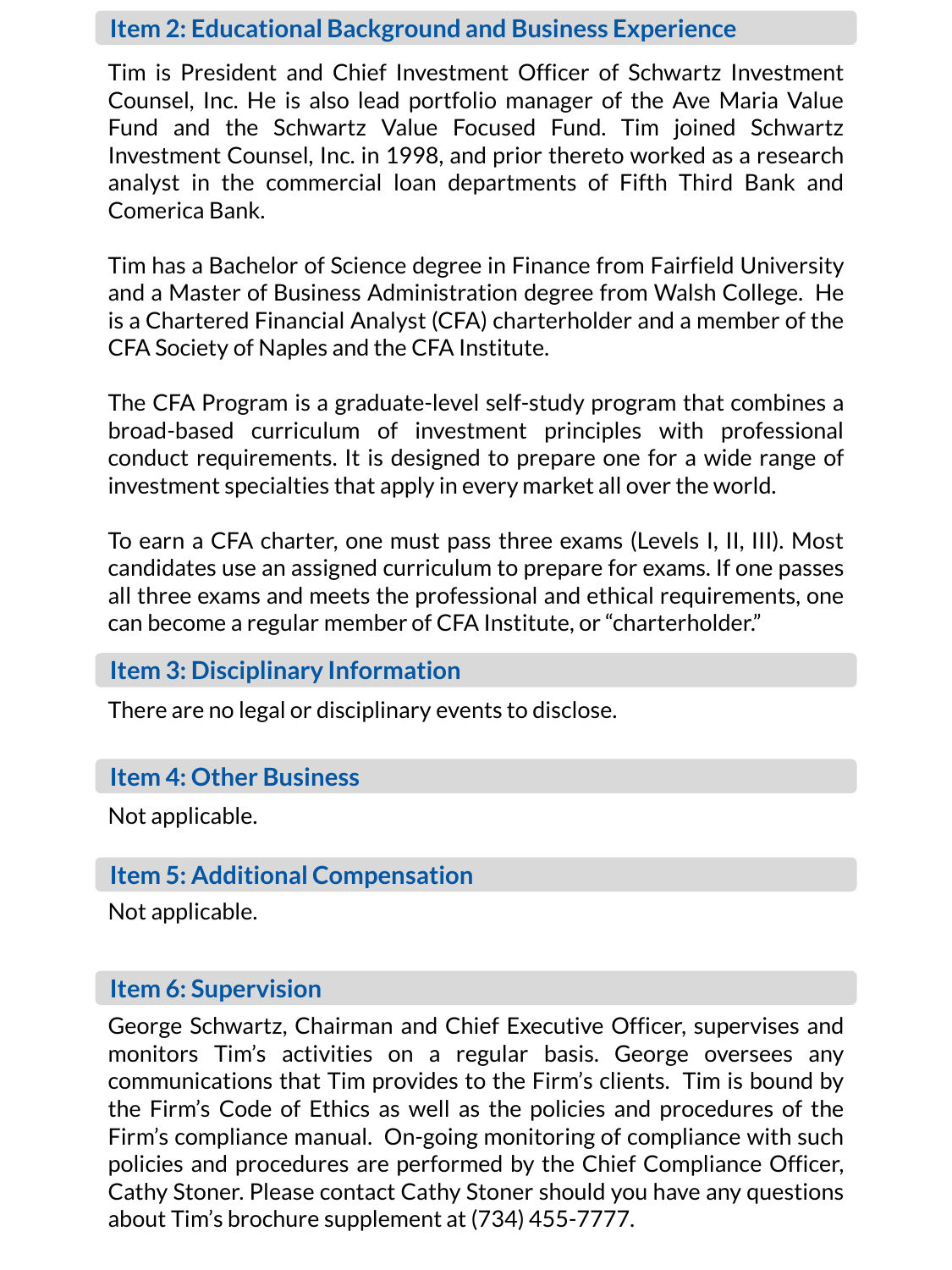Tim is President and Chief Investment Officer of Schwartz Investment Counsel, Inc. He is also lead portfolio manager of the Ave Maria Value Fund and the Schwartz Value Focused Fund. Tim joined Schwartz Investment Counsel, Inc. in 1998, and prior thereto worked as a research analyst in the commercial loan departments of Fifth Third Bank and Comerica Bank.

Tim has a Bachelor of Science degree in Finance from Fairfield University and a Master of Business Administration degree from Walsh College. He is a Chartered Financial Analyst (CFA) charterholder and a member of the CFA Society of Naples and the CFA Institute.

The CFA Program is a graduate-level self-study program that combines a broad-based curriculum of investment principles with professional conduct requirements. It is designed to prepare one for a wide range of investment specialties that apply in every market all over the world.

To earn a CFA charter, one must pass three exams (Levels I, II, III). Most candidates use an assigned curriculum to prepare for exams. If one passes all three exams and meets the professional and ethical requirements, one can become a regular member of CFA Institute, or "charterholder."

### **Item 3: Disciplinary Information**

There are no legal or disciplinary events to disclose.

### **Item 4: Other Business**

Not applicable.

## **Item 5: Additional Compensation**

Not applicable.

### **Item 6: Supervision**

George Schwartz, Chairman and Chief Executive Officer, supervises and monitors Tim's activities on a regular basis. George oversees any communications that Tim provides to the Firm's clients. Tim is bound by the Firm's Code of Ethics as well as the policies and procedures of the Firm's compliance manual. On-going monitoring of compliance with such policies and procedures are performed by the Chief Compliance Officer, Cathy Stoner. Please contact Cathy Stoner should you have any questions about Tim's brochure supplement at (734) 455-7777.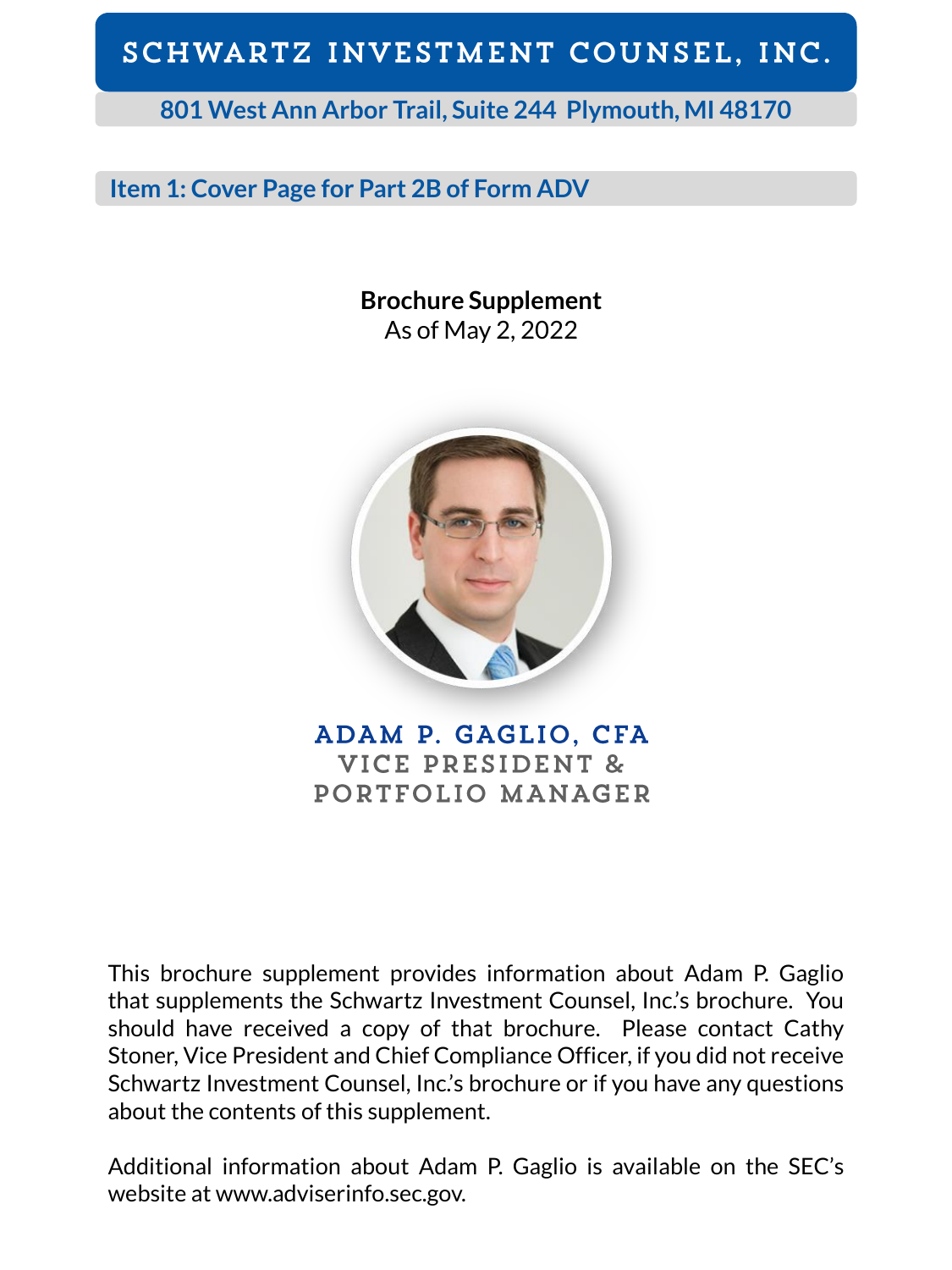**801 West Ann Arbor Trail, Suite 244 Plymouth, MI 48170**

## **Item 1: Cover Page for Part 2B of Form ADV**

**Brochure Supplement** As of May 2, 2022



ADAM P. GAGLIO, CFA VICE PRESIDENT & PORTFOLIO MANAGER

This brochure supplement provides information about Adam P. Gaglio that supplements the Schwartz Investment Counsel, Inc.'s brochure. You should have received a copy of that brochure. Please contact Cathy Stoner, Vice President and Chief Compliance Officer, if you did not receive Schwartz Investment Counsel, Inc.'s brochure or if you have any questions about the contents of this supplement.

Additional information about Adam P. Gaglio is available on the SEC's website at www.adviserinfo.sec.gov.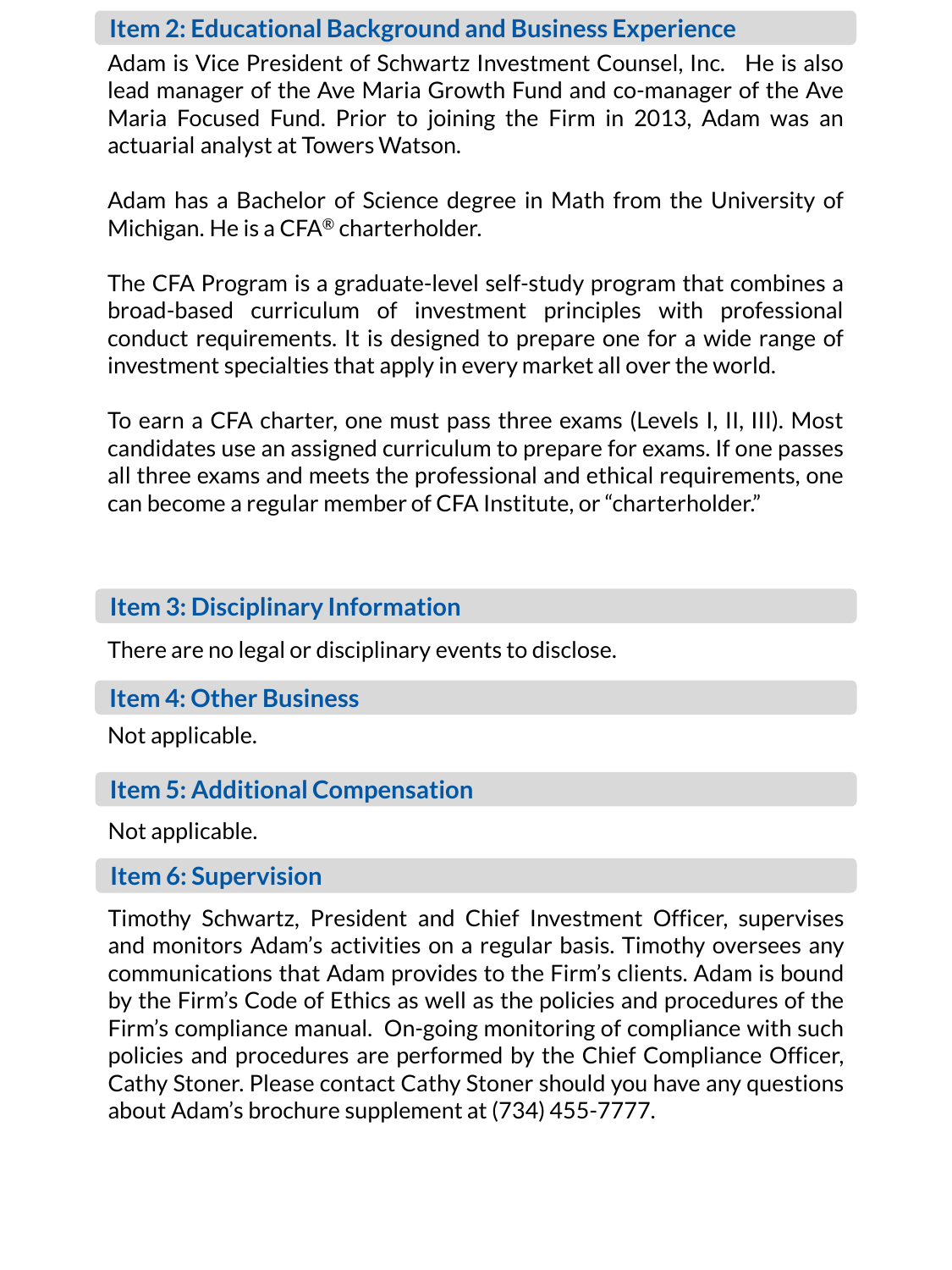Adam is Vice President of Schwartz Investment Counsel, Inc. He is also lead manager of the Ave Maria Growth Fund and co-manager of the Ave Maria Focused Fund. Prior to joining the Firm in 2013, Adam was an actuarial analyst at Towers Watson.

Adam has a Bachelor of Science degree in Math from the University of Michigan. He is a CFA® charterholder.

The CFA Program is a graduate-level self-study program that combines a broad-based curriculum of investment principles with professional conduct requirements. It is designed to prepare one for a wide range of investment specialties that apply in every market all over the world.

To earn a CFA charter, one must pass three exams (Levels I, II, III). Most candidates use an assigned curriculum to prepare for exams. If one passes all three exams and meets the professional and ethical requirements, one can become a regular member of CFA Institute, or "charterholder."

### **Item 3: Disciplinary Information**

There are no legal or disciplinary events to disclose.

#### **Item 4: Other Business**

Not applicable.

### **Item 5: Additional Compensation**

Not applicable.

#### **Item 6: Supervision**

Timothy Schwartz, President and Chief Investment Officer, supervises and monitors Adam's activities on a regular basis. Timothy oversees any communications that Adam provides to the Firm's clients. Adam is bound by the Firm's Code of Ethics as well as the policies and procedures of the Firm's compliance manual. On-going monitoring of compliance with such policies and procedures are performed by the Chief Compliance Officer, Cathy Stoner. Please contact Cathy Stoner should you have any questions about Adam's brochure supplement at (734) 455-7777.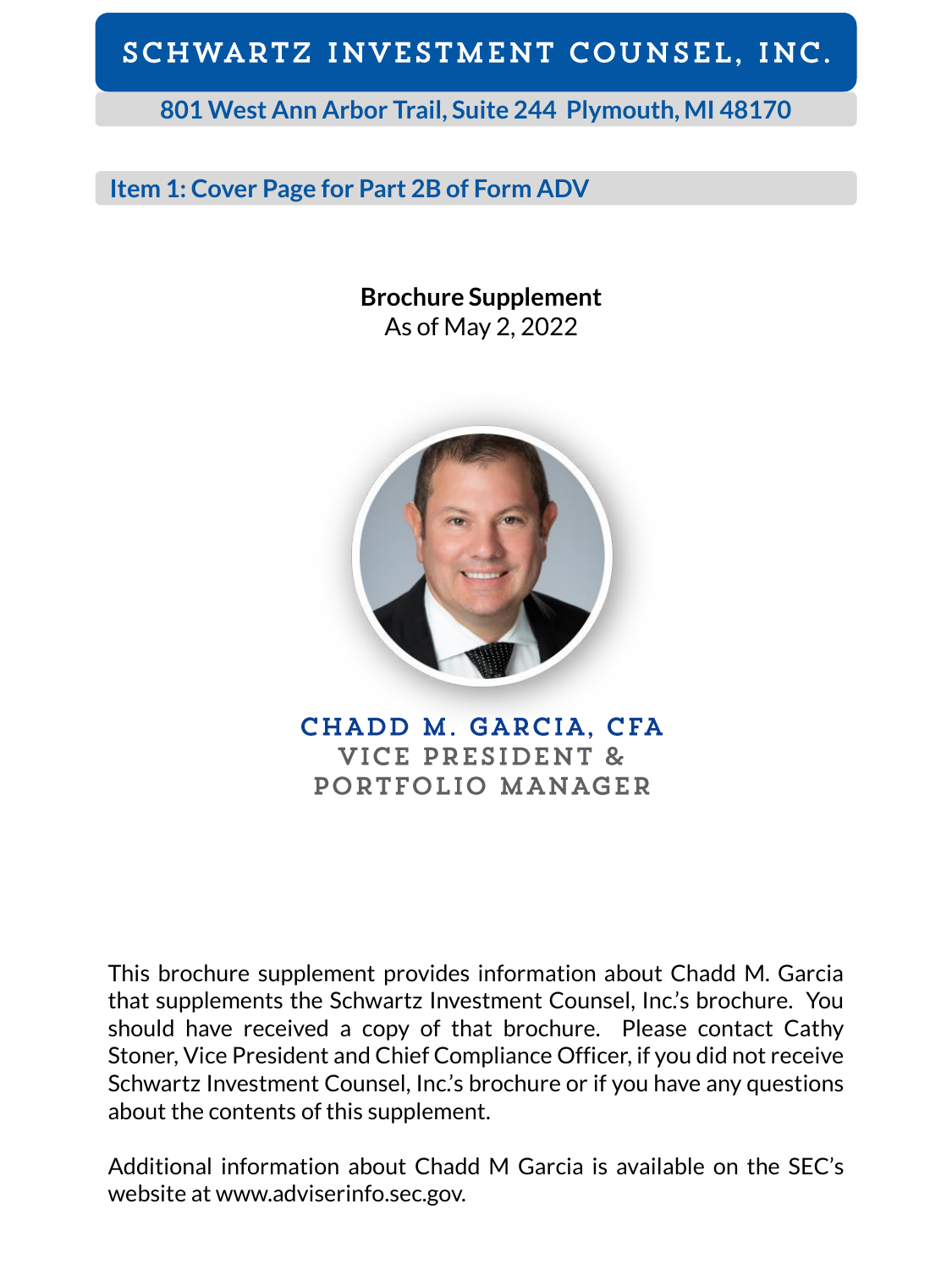**801 West Ann Arbor Trail, Suite 244 Plymouth, MI 48170**

## **Item 1: Cover Page for Part 2B of Form ADV**

**Brochure Supplement** As of May 2, 2022



CHADD M. GARCIA, CFA VICE PRESIDENT & PORTFOLIO MANAGER

This brochure supplement provides information about Chadd M. Garcia that supplements the Schwartz Investment Counsel, Inc.'s brochure. You should have received a copy of that brochure. Please contact Cathy Stoner, Vice President and Chief Compliance Officer, if you did not receive Schwartz Investment Counsel, Inc.'s brochure or if you have any questions about the contents of this supplement.

Additional information about Chadd M Garcia is available on the SEC's website at www.adviserinfo.sec.gov.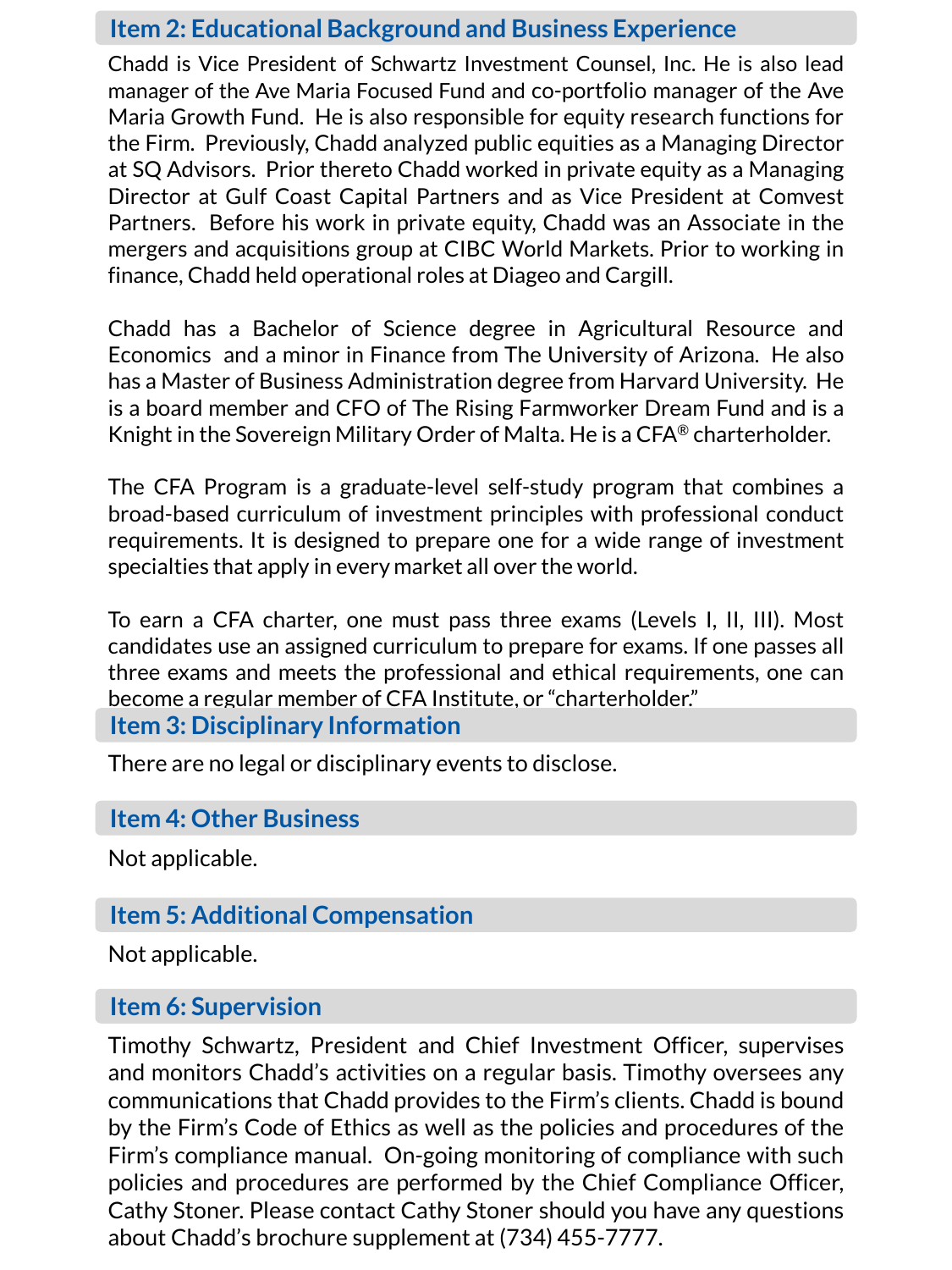Chadd is Vice President of Schwartz Investment Counsel, Inc. He is also lead manager of the Ave Maria Focused Fund and co-portfolio manager of the Ave Maria Growth Fund. He is also responsible for equity research functions for the Firm. Previously, Chadd analyzed public equities as a Managing Director at SQ Advisors. Prior thereto Chadd worked in private equity as a Managing Director at Gulf Coast Capital Partners and as Vice President at Comvest Partners. Before his work in private equity, Chadd was an Associate in the mergers and acquisitions group at CIBC World Markets. Prior to working in finance, Chadd held operational roles at Diageo and Cargill.

Chadd has a Bachelor of Science degree in Agricultural Resource and Economics and a minor in Finance from The University of Arizona. He also has a Master of Business Administration degree from Harvard University. He is a board member and CFO of The Rising Farmworker Dream Fund and is a Knight in the Sovereign Military Order of Malta. He is a CFA® charterholder.

The CFA Program is a graduate-level self-study program that combines a broad-based curriculum of investment principles with professional conduct requirements. It is designed to prepare one for a wide range of investment specialties that apply in every market all over the world.

To earn a CFA charter, one must pass three exams (Levels I, II, III). Most candidates use an assigned curriculum to prepare for exams. If one passes all three exams and meets the professional and ethical requirements, one can become a regular member of CFA Institute, or "charterholder."

### **Item 3: Disciplinary Information**

There are no legal or disciplinary events to disclose.

### **Item 4: Other Business**

Not applicable.

### **Item 5: Additional Compensation**

Not applicable.

### **Item 6: Supervision**

Timothy Schwartz, President and Chief Investment Officer, supervises and monitors Chadd's activities on a regular basis. Timothy oversees any communications that Chadd provides to the Firm's clients. Chadd is bound by the Firm's Code of Ethics as well as the policies and procedures of the Firm's compliance manual. On-going monitoring of compliance with such policies and procedures are performed by the Chief Compliance Officer, Cathy Stoner. Please contact Cathy Stoner should you have any questions about Chadd's brochure supplement at (734) 455-7777.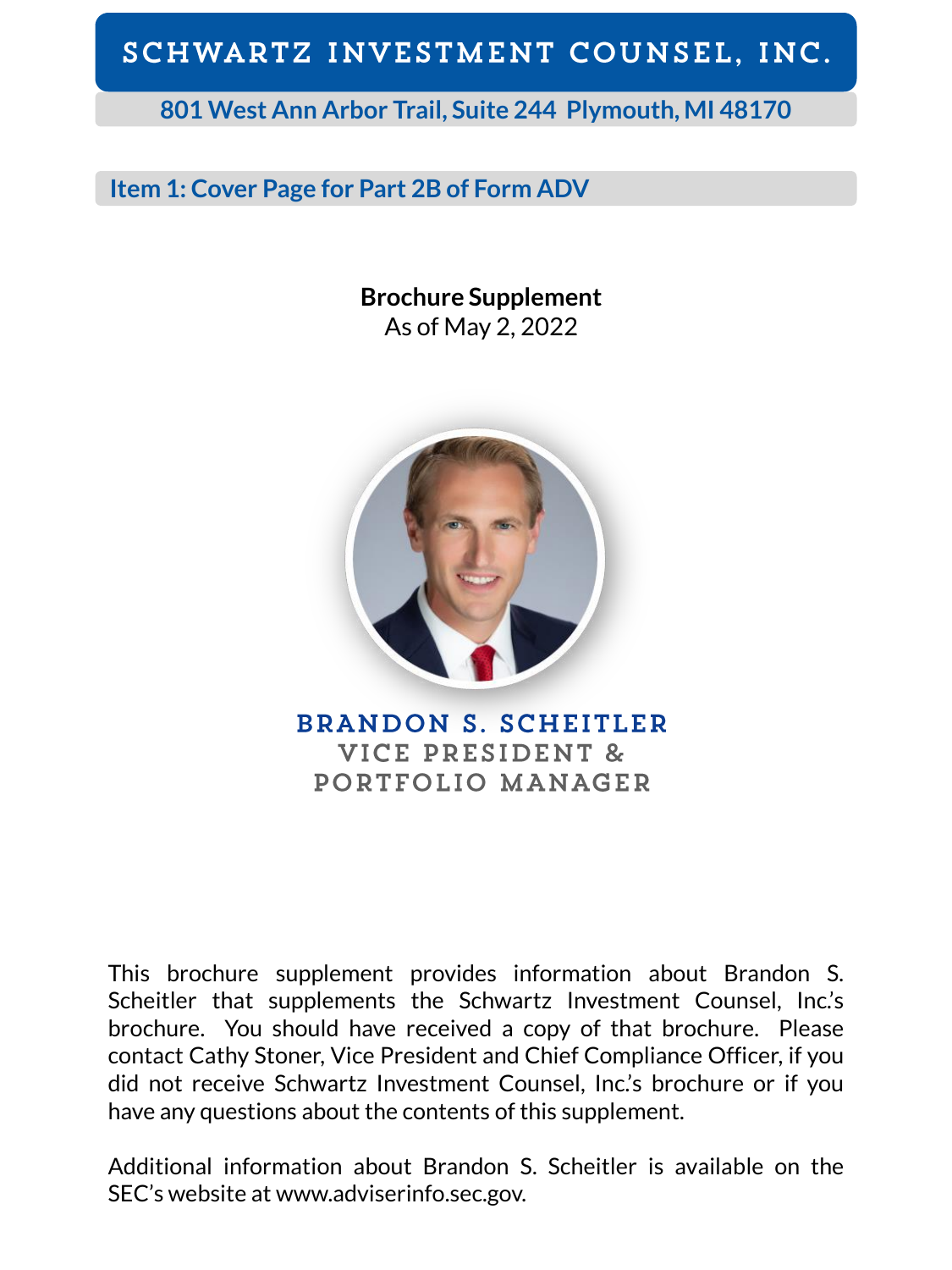**801 West Ann Arbor Trail, Suite 244 Plymouth, MI 48170**

## **Item 1: Cover Page for Part 2B of Form ADV**

**Brochure Supplement** As of May 2, 2022



**BRANDON S. SCHEITLER** VICE PRESIDENT & PORTFOLIO MANAGER

This brochure supplement provides information about Brandon S. Scheitler that supplements the Schwartz Investment Counsel, Inc.'s brochure. You should have received a copy of that brochure. Please contact Cathy Stoner, Vice President and Chief Compliance Officer, if you did not receive Schwartz Investment Counsel, Inc.'s brochure or if you have any questions about the contents of this supplement.

Additional information about Brandon S. Scheitler is available on the SEC's website at www.adviserinfo.sec.gov.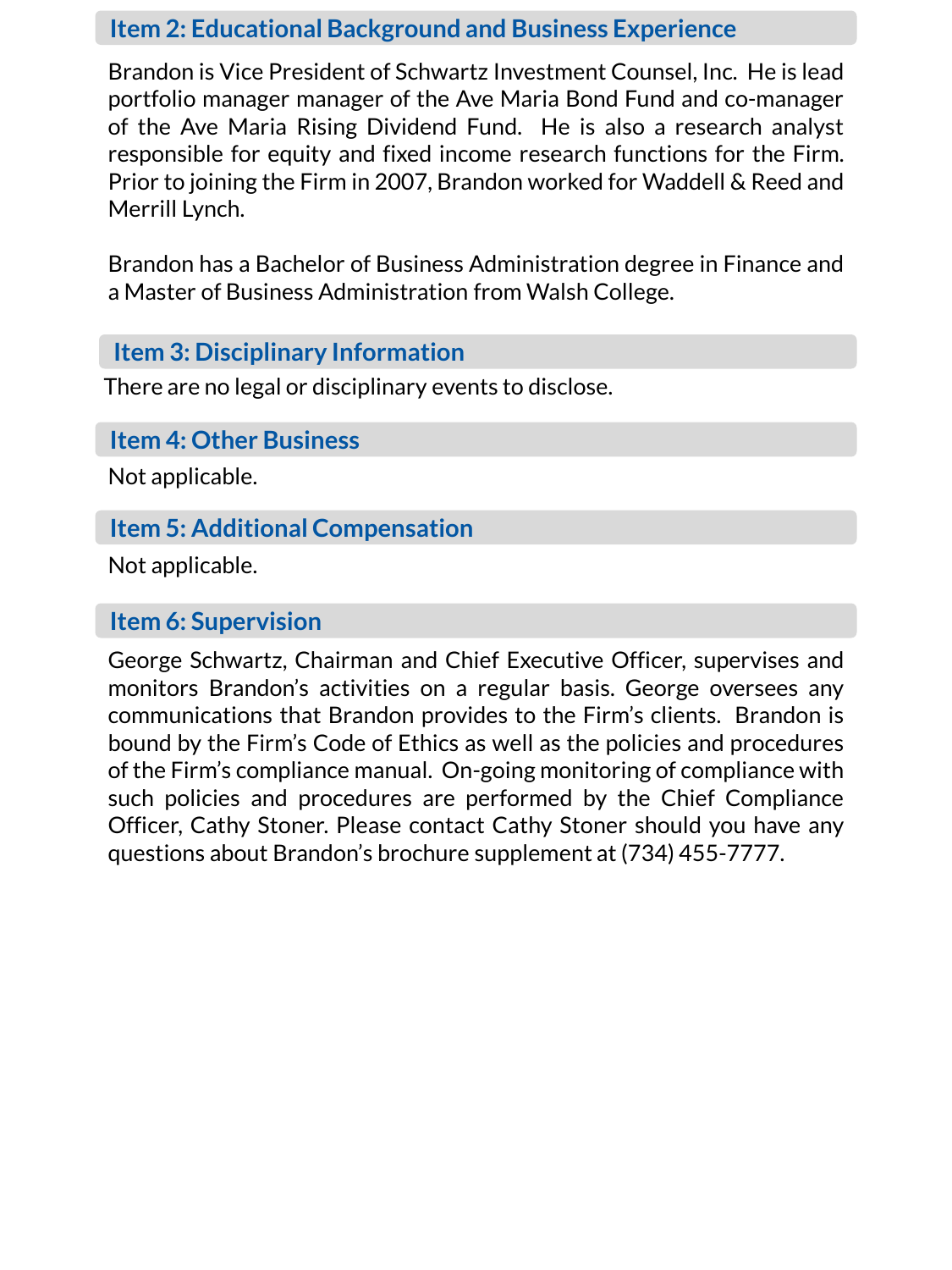Brandon is Vice President of Schwartz Investment Counsel, Inc. He is lead portfolio manager manager of the Ave Maria Bond Fund and co-manager of the Ave Maria Rising Dividend Fund. He is also a research analyst responsible for equity and fixed income research functions for the Firm. Prior to joining the Firm in 2007, Brandon worked for Waddell & Reed and Merrill Lynch.

Brandon has a Bachelor of Business Administration degree in Finance and a Master of Business Administration from Walsh College.

## **Item 3: Disciplinary Information**

There are no legal or disciplinary events to disclose.

**Item 4: Other Business**

Not applicable.

# **Item 5: Additional Compensation**

Not applicable.

## **Item 6: Supervision**

George Schwartz, Chairman and Chief Executive Officer, supervises and monitors Brandon's activities on a regular basis. George oversees any communications that Brandon provides to the Firm's clients. Brandon is bound by the Firm's Code of Ethics as well as the policies and procedures of the Firm's compliance manual. On-going monitoring of compliance with such policies and procedures are performed by the Chief Compliance Officer, Cathy Stoner. Please contact Cathy Stoner should you have any questions about Brandon's brochure supplement at (734) 455-7777.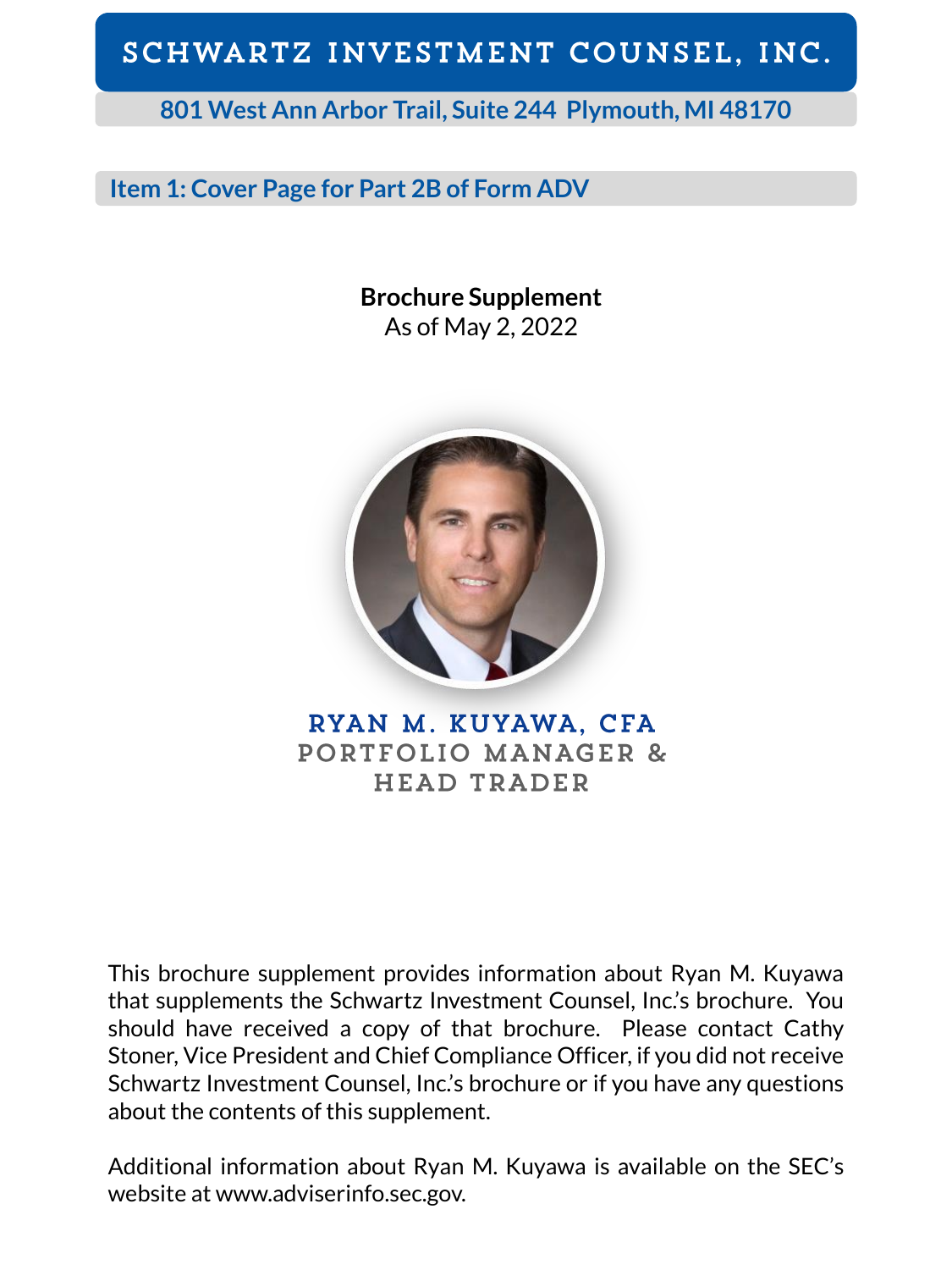**801 West Ann Arbor Trail, Suite 244 Plymouth, MI 48170**

## **Item 1: Cover Page for Part 2B of Form ADV**

**Brochure Supplement** As of May 2, 2022



RYAN M. KUYAWA, CFA PORTFOLIO MANAGER & **HEAD TRADER** 

This brochure supplement provides information about Ryan M. Kuyawa that supplements the Schwartz Investment Counsel, Inc.'s brochure. You should have received a copy of that brochure. Please contact Cathy Stoner, Vice President and Chief Compliance Officer, if you did not receive Schwartz Investment Counsel, Inc.'s brochure or if you have any questions about the contents of this supplement.

Additional information about Ryan M. Kuyawa is available on the SEC's website at www.adviserinfo.sec.gov.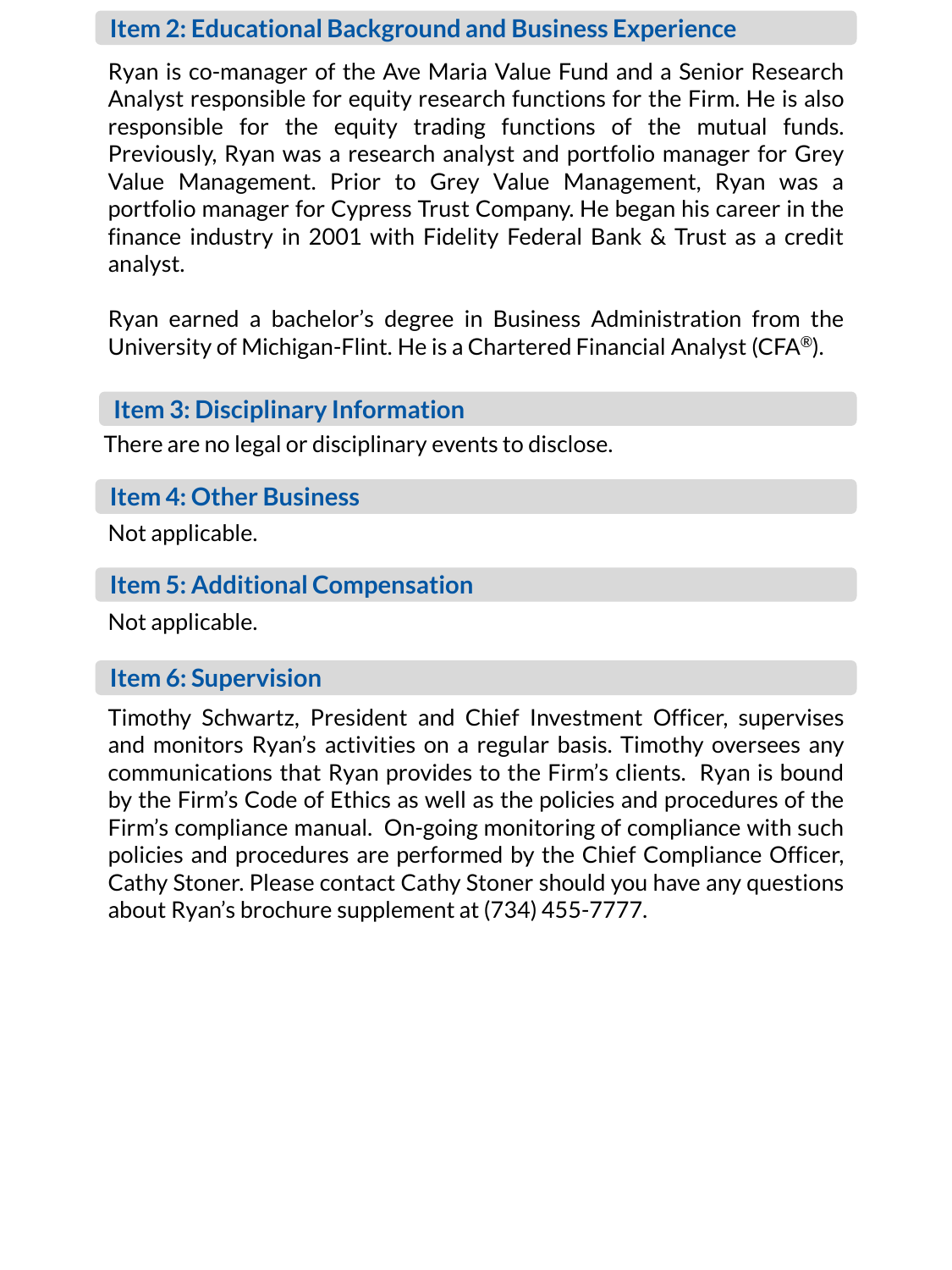Ryan is co-manager of the Ave Maria Value Fund and a Senior Research Analyst responsible for equity research functions for the Firm. He is also responsible for the equity trading functions of the mutual funds. Previously, Ryan was a research analyst and portfolio manager for Grey Value Management. Prior to Grey Value Management, Ryan was a portfolio manager for Cypress Trust Company. He began his career in the finance industry in 2001 with Fidelity Federal Bank & Trust as a credit analyst.

Ryan earned a bachelor's degree in Business Administration from the University of Michigan-Flint. He is a Chartered Financial Analyst (CFA®).

### **Item 3: Disciplinary Information**

There are no legal or disciplinary events to disclose.

#### **Item 4: Other Business**

Not applicable.

## **Item 5: Additional Compensation**

Not applicable.

#### **Item 6: Supervision**

Timothy Schwartz, President and Chief Investment Officer, supervises and monitors Ryan's activities on a regular basis. Timothy oversees any communications that Ryan provides to the Firm's clients. Ryan is bound by the Firm's Code of Ethics as well as the policies and procedures of the Firm's compliance manual. On-going monitoring of compliance with such policies and procedures are performed by the Chief Compliance Officer, Cathy Stoner. Please contact Cathy Stoner should you have any questions about Ryan's brochure supplement at (734) 455-7777.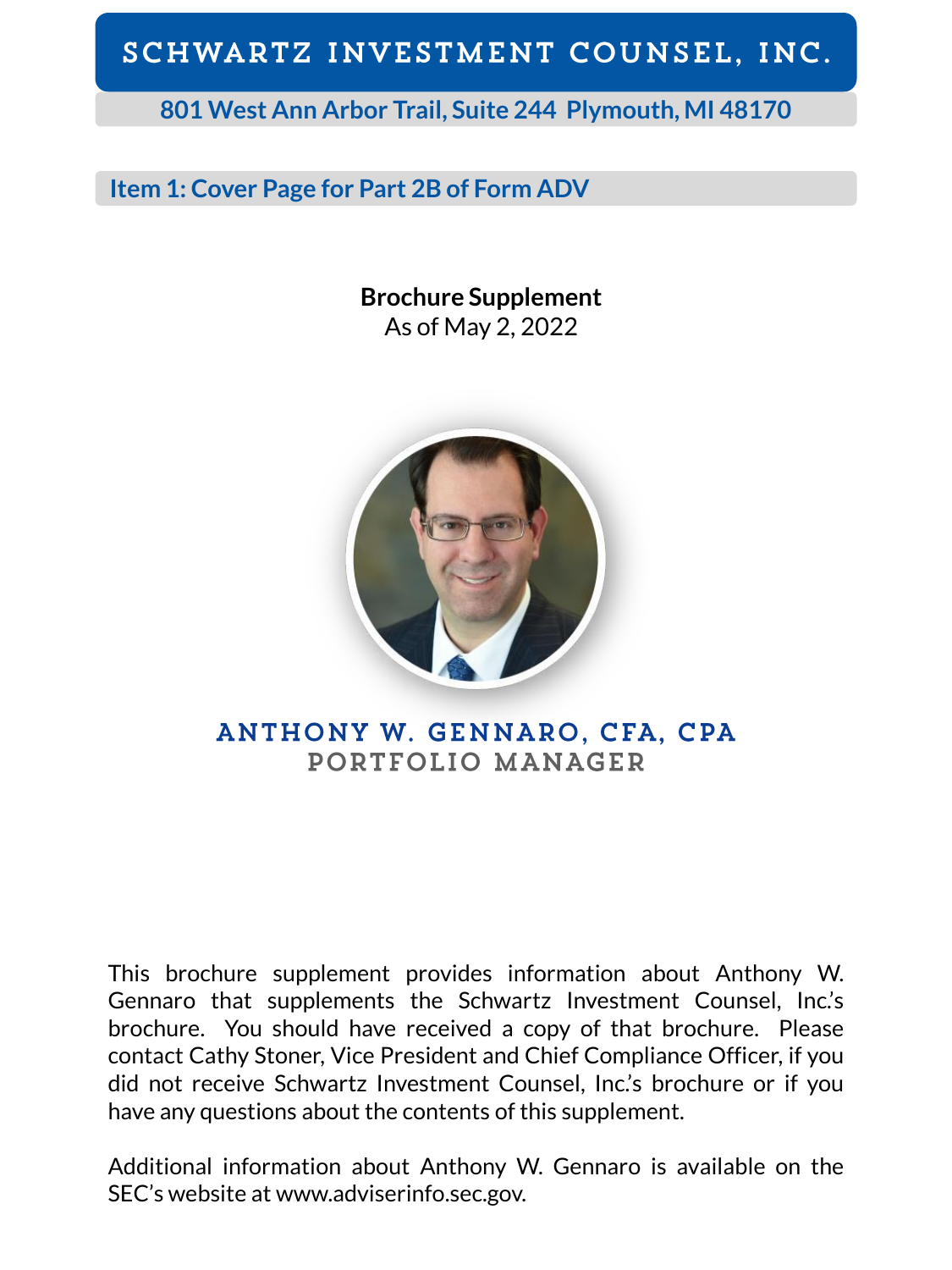**801 West Ann Arbor Trail, Suite 244 Plymouth, MI 48170**

## **Item 1: Cover Page for Part 2B of Form ADV**

**Brochure Supplement** As of May 2, 2022



## ANTHONY W. GENNARO, CFA, CPA PORTFOLIO MANAGER

This brochure supplement provides information about Anthony W. Gennaro that supplements the Schwartz Investment Counsel, Inc.'s brochure. You should have received a copy of that brochure. Please contact Cathy Stoner, Vice President and Chief Compliance Officer, if you did not receive Schwartz Investment Counsel, Inc.'s brochure or if you have any questions about the contents of this supplement.

Additional information about Anthony W. Gennaro is available on the SEC's website at www.adviserinfo.sec.gov.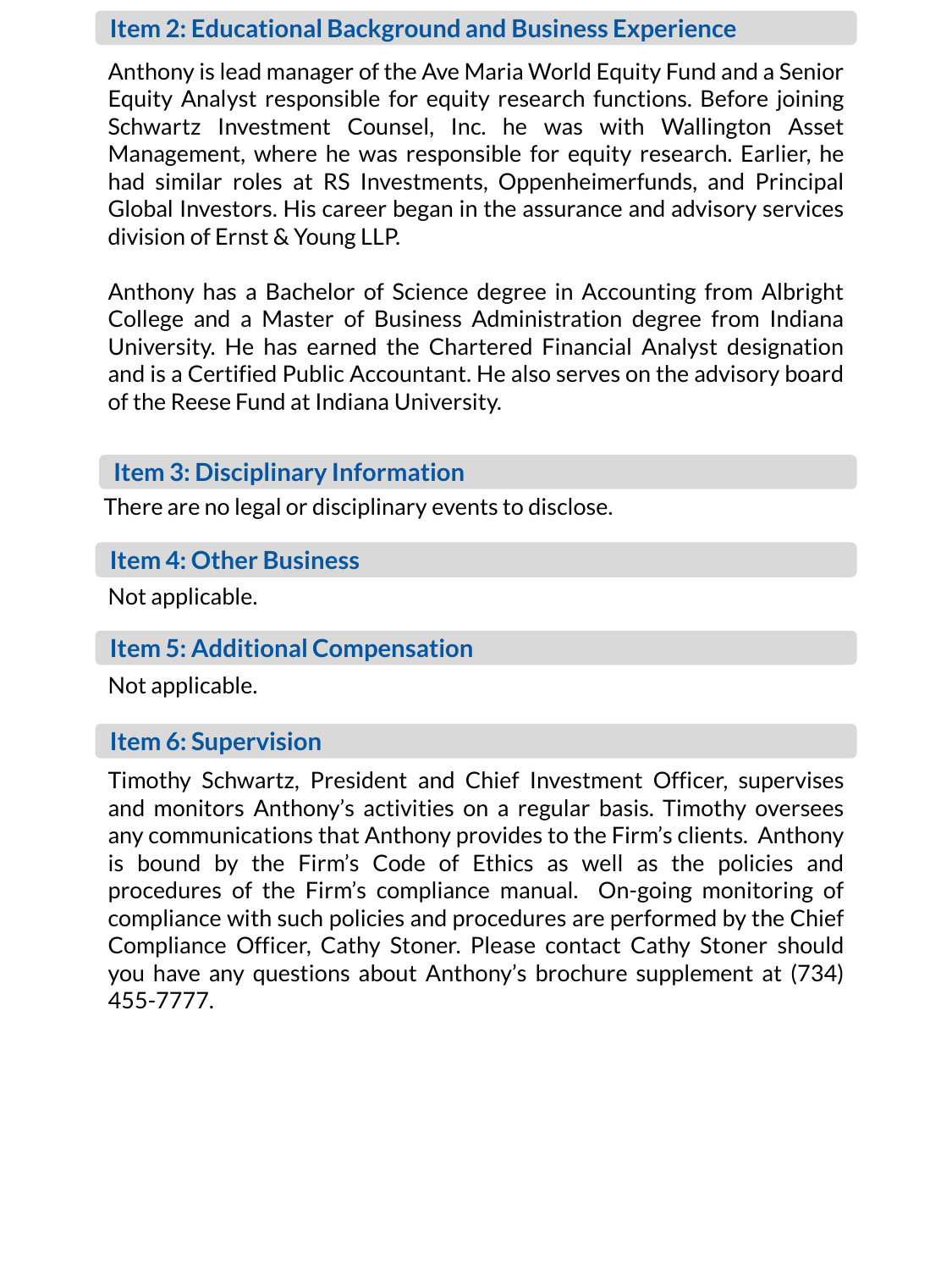Anthony is lead manager of the Ave Maria World Equity Fund and a Senior Equity Analyst responsible for equity research functions. Before joining Schwartz Investment Counsel, Inc. he was with Wallington Asset Management, where he was responsible for equity research. Earlier, he had similar roles at RS Investments, Oppenheimerfunds, and Principal Global Investors. His career began in the assurance and advisory services division of Ernst & Young LLP.

Anthony has a Bachelor of Science degree in Accounting from Albright College and a Master of Business Administration degree from Indiana University. He has earned the Chartered Financial Analyst designation and is a Certified Public Accountant. He also serves on the advisory board of the Reese Fund at Indiana University.

#### **Item 3: Disciplinary Information**

There are no legal or disciplinary events to disclose.

## **Item 4: Other Business**

Not applicable.

## **Item 5: Additional Compensation**

Not applicable.

## **Item 6: Supervision**

Timothy Schwartz, President and Chief Investment Officer, supervises and monitors Anthony's activities on a regular basis. Timothy oversees any communications that Anthony provides to the Firm's clients. Anthony is bound by the Firm's Code of Ethics as well as the policies and procedures of the Firm's compliance manual. On-going monitoring of compliance with such policies and procedures are performed by the Chief Compliance Officer, Cathy Stoner. Please contact Cathy Stoner should you have any questions about Anthony's brochure supplement at (734) 455-7777.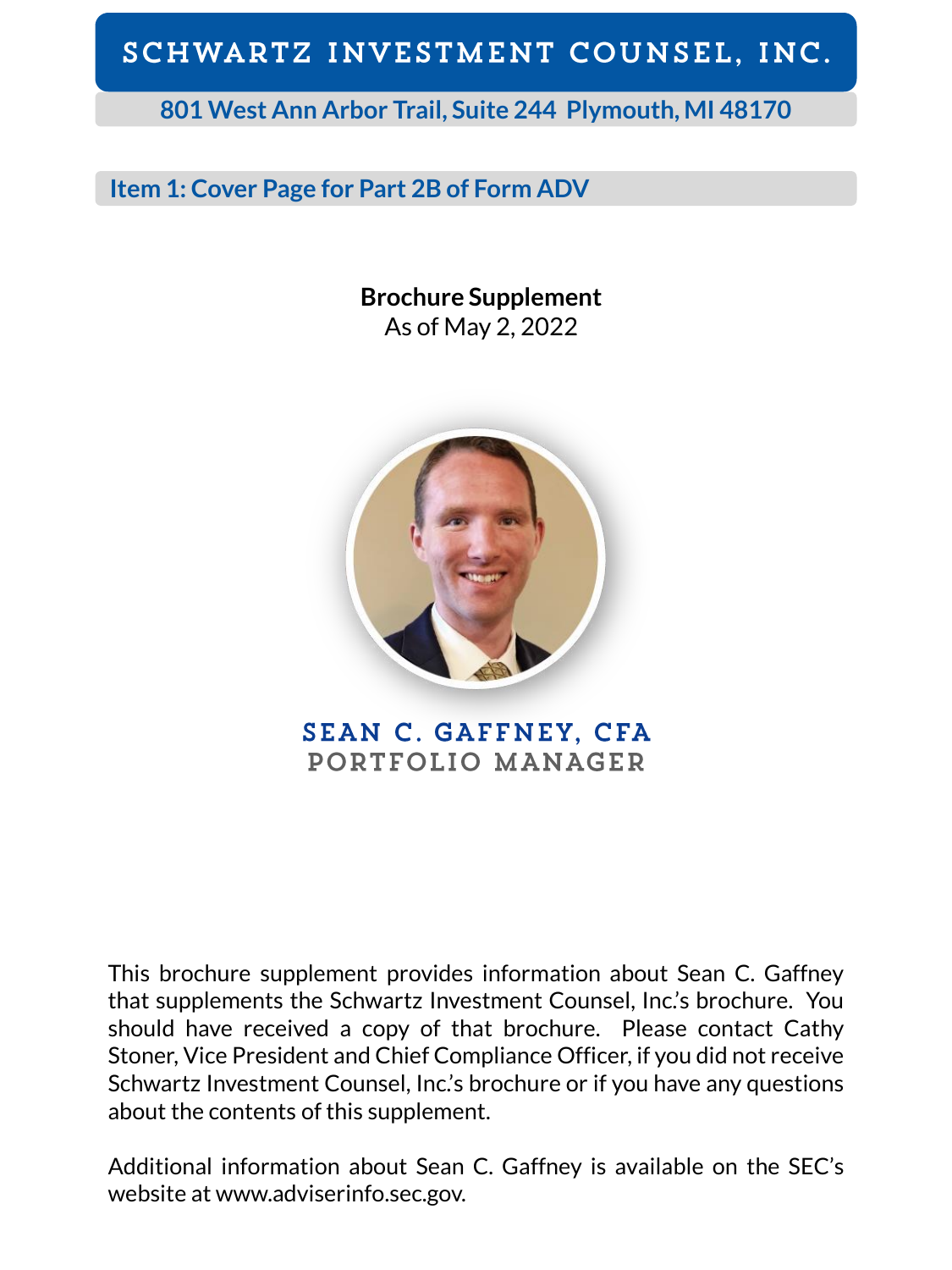**801 West Ann Arbor Trail, Suite 244 Plymouth, MI 48170**

## **Item 1: Cover Page for Part 2B of Form ADV**

**Brochure Supplement** As of May 2, 2022



**SEAN C. GAFFNEY, CFA** PORTFOLIO MANAGER

This brochure supplement provides information about Sean C. Gaffney that supplements the Schwartz Investment Counsel, Inc.'s brochure. You should have received a copy of that brochure. Please contact Cathy Stoner, Vice President and Chief Compliance Officer, if you did not receive Schwartz Investment Counsel, Inc.'s brochure or if you have any questions about the contents of this supplement.

Additional information about Sean C. Gaffney is available on the SEC's website at www.adviserinfo.sec.gov.